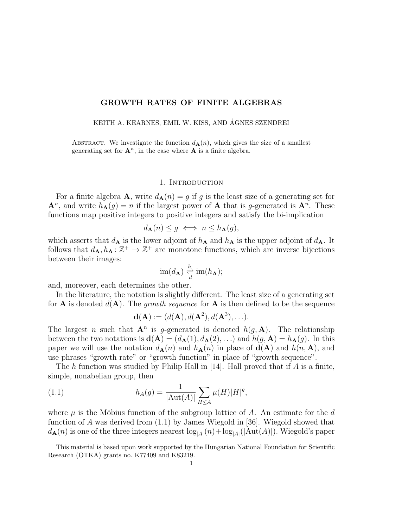## GROWTH RATES OF FINITE ALGEBRAS

KEITH A. KEARNES, EMIL W. KISS, AND ÁGNES SZENDREI

ABSTRACT. We investigate the function  $d_{\mathbf{A}}(n)$ , which gives the size of a smallest generating set for  $\mathbf{A}^n$ , in the case where  $\mathbf{A}$  is a finite algebra.

#### 1. INTRODUCTION

For a finite algebra **A**, write  $d_{\mathbf{A}}(n) = g$  if g is the least size of a generating set for  $\mathbf{A}^n$ , and write  $h_{\mathbf{A}}(g) = n$  if the largest power of **A** that is g-generated is  $\mathbf{A}^n$ . These functions map positive integers to positive integers and satisfy the bi-implication

$$
d_{\mathbf{A}}(n) \le g \iff n \le h_{\mathbf{A}}(g),
$$

which asserts that  $d_{\mathbf{A}}$  is the lower adjoint of  $h_{\mathbf{A}}$  and  $h_{\mathbf{A}}$  is the upper adjoint of  $d_{\mathbf{A}}$ . It follows that  $d_{\mathbf{A}}, h_{\mathbf{A}} : \mathbb{Z}^+ \to \mathbb{Z}^+$  are monotone functions, which are inverse bijections between their images:

$$
\operatorname{im}(d_{\mathbf{A}}) \underset{d}{\overset{h}{\rightleftharpoons}} \operatorname{im}(h_{\mathbf{A}});
$$

and, moreover, each determines the other.

In the literature, the notation is slightly different. The least size of a generating set for **A** is denoted  $d(\mathbf{A})$ . The growth sequence for **A** is then defined to be the sequence

$$
\mathbf{d}(\mathbf{A}):=(d(\mathbf{A}),d(\mathbf{A}^2),d(\mathbf{A}^3),\ldots).
$$

The largest *n* such that  $A^n$  is g-generated is denoted  $h(g, A)$ . The relationship between the two notations is  $\mathbf{d}(\mathbf{A}) = (d_{\mathbf{A}}(1), d_{\mathbf{A}}(2), \ldots)$  and  $h(g, \mathbf{A}) = h_{\mathbf{A}}(g)$ . In this paper we will use the notation  $d_{\mathbf{A}}(n)$  and  $h_{\mathbf{A}}(n)$  in place of  $\mathbf{d}(\mathbf{A})$  and  $h(n, \mathbf{A})$ , and use phrases "growth rate" or "growth function" in place of "growth sequence".

The h function was studied by Philip Hall in  $[14]$ . Hall proved that if A is a finite, simple, nonabelian group, then

(1.1) 
$$
h_A(g) = \frac{1}{|\text{Aut}(A)|} \sum_{H \le A} \mu(H)|H|^g,
$$

where  $\mu$  is the Möbius function of the subgroup lattice of A. An estimate for the d function of A was derived from (1.1) by James Wiegold in [36]. Wiegold showed that  $d_{\mathbf{A}}(n)$  is one of the three integers nearest  $\log_{|A|}(n) + \log_{|A|}(|\text{Aut}(A)|)$ . Wiegold's paper

This material is based upon work supported by the Hungarian National Foundation for Scientific Research (OTKA) grants no. K77409 and K83219.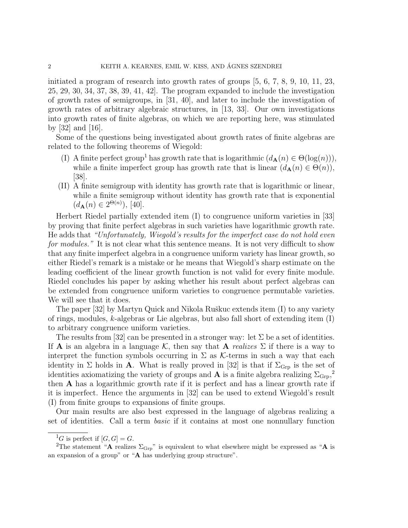initiated a program of research into growth rates of groups [5, 6, 7, 8, 9, 10, 11, 23, 25, 29, 30, 34, 37, 38, 39, 41, 42]. The program expanded to include the investigation of growth rates of semigroups, in [31, 40], and later to include the investigation of growth rates of arbitrary algebraic structures, in [13, 33]. Our own investigations into growth rates of finite algebras, on which we are reporting here, was stimulated by [32] and [16].

Some of the questions being investigated about growth rates of finite algebras are related to the following theorems of Wiegold:

- (I) A finite perfect group<sup>1</sup> has growth rate that is logarithmic  $(d_{\mathbf{A}}(n) \in \Theta(\log(n)))$ , while a finite imperfect group has growth rate that is linear  $(d_{\mathbf{A}}(n) \in \Theta(n)),$ [38].
- (II) A finite semigroup with identity has growth rate that is logarithmic or linear, while a finite semigroup without identity has growth rate that is exponential  $(d_{\mathbf{A}}(n) \in 2^{\Theta(n)}), [40].$

Herbert Riedel partially extended item (I) to congruence uniform varieties in [33] by proving that finite perfect algebras in such varieties have logarithmic growth rate. He adds that "Unfortunately, Wiegold's results for the imperfect case do not hold even for modules." It is not clear what this sentence means. It is not very difficult to show that any finite imperfect algebra in a congruence uniform variety has linear growth, so either Riedel's remark is a mistake or he means that Wiegold's sharp estimate on the leading coefficient of the linear growth function is not valid for every finite module. Riedel concludes his paper by asking whether his result about perfect algebras can be extended from congruence uniform varieties to congruence permutable varieties. We will see that it does.

The paper  $[32]$  by Martyn Quick and Nikola Ruškuc extends item  $(I)$  to any variety of rings, modules, k-algebras or Lie algebras, but also fall short of extending item (I) to arbitrary congruence uniform varieties.

The results from [32] can be presented in a stronger way: let  $\Sigma$  be a set of identities. If **A** is an algebra in a language K, then say that **A** realizes  $\Sigma$  if there is a way to interpret the function symbols occurring in  $\Sigma$  as K-terms in such a way that each identity in  $\Sigma$  holds in **A**. What is really proved in [32] is that if  $\Sigma_{\text{Grp}}$  is the set of identities axiomatizing the variety of groups and **A** is a finite algebra realizing  $\Sigma_{\text{Grp}}$ ,<sup>2</sup> then A has a logarithmic growth rate if it is perfect and has a linear growth rate if it is imperfect. Hence the arguments in [32] can be used to extend Wiegold's result (I) from finite groups to expansions of finite groups.

Our main results are also best expressed in the language of algebras realizing a set of identities. Call a term basic if it contains at most one nonnullary function

<sup>&</sup>lt;sup>1</sup>G is perfect if  $[G, G] = G$ .

<sup>&</sup>lt;sup>2</sup>The statement "A realizes  $\Sigma_{\text{Grp}}$ " is equivalent to what elsewhere might be expressed as "A is an expansion of a group" or "A has underlying group structure".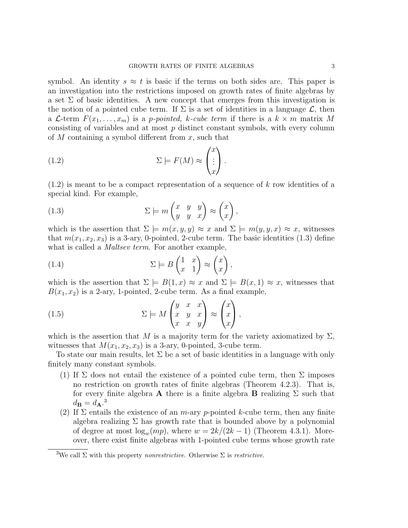symbol. An identity  $s \approx t$  is basic if the terms on both sides are. This paper is an investigation into the restrictions imposed on growth rates of finite algebras by a set  $\Sigma$  of basic identities. A new concept that emerges from this investigation is the notion of a pointed cube term. If  $\Sigma$  is a set of identities in a language  $\mathcal{L}$ , then a L-term  $F(x_1, \ldots, x_m)$  is a p-pointed, k-cube term if there is a  $k \times m$  matrix M consisting of variables and at most p distinct constant symbols, with every column of M containing a symbol different from  $x$ , such that

(1.2) 
$$
\Sigma \models F(M) \approx \begin{pmatrix} x \\ \vdots \\ x \end{pmatrix}.
$$

 $(1.2)$  is meant to be a compact representation of a sequence of k row identities of a special kind. For example,

(1.3) 
$$
\Sigma \models m \begin{pmatrix} x & y & y \\ y & y & x \end{pmatrix} \approx \begin{pmatrix} x \\ x \end{pmatrix},
$$

which is the assertion that  $\Sigma \models m(x, y, y) \approx x$  and  $\Sigma \models m(y, y, x) \approx x$ , witnesses that  $m(x_1, x_2, x_3)$  is a 3-ary, 0-pointed, 2-cube term. The basic identities (1.3) define what is called a *Maltsev term*. For another example,

(1.4) 
$$
\Sigma \models B \begin{pmatrix} 1 & x \\ x & 1 \end{pmatrix} \approx \begin{pmatrix} x \\ x \end{pmatrix},
$$

which is the assertion that  $\Sigma \models B(1, x) \approx x$  and  $\Sigma \models B(x, 1) \approx x$ , witnesses that  $B(x_1, x_2)$  is a 2-ary, 1-pointed, 2-cube term. As a final example,

(1.5) 
$$
\Sigma \models M \begin{pmatrix} y & x & x \\ x & y & x \\ x & x & y \end{pmatrix} \approx \begin{pmatrix} x \\ x \\ x \end{pmatrix},
$$

which is the assertion that M is a majority term for the variety axiomatized by  $\Sigma$ , witnesses that  $M(x_1, x_2, x_3)$  is a 3-ary, 0-pointed, 3-cube term.

To state our main results, let  $\Sigma$  be a set of basic identities in a language with only finitely many constant symbols.

- (1) If  $\Sigma$  does not entail the existence of a pointed cube term, then  $\Sigma$  imposes no restriction on growth rates of finite algebras (Theorem 4.2.3). That is, for every finite algebra **A** there is a finite algebra **B** realizing  $\Sigma$  such that  $d_{\mathbf{B}} = d_{\mathbf{A}}$ <sup>3</sup>
- (2) If  $\Sigma$  entails the existence of an *m*-ary *p*-pointed *k*-cube term, then any finite algebra realizing  $\Sigma$  has growth rate that is bounded above by a polynomial of degree at most  $\log_w(mp)$ , where  $w = 2k/(2k-1)$  (Theorem 4.3.1). Moreover, there exist finite algebras with 1-pointed cube terms whose growth rate

<sup>&</sup>lt;sup>3</sup>We call  $\Sigma$  with this property *nonrestrictive*. Otherwise  $\Sigma$  is *restrictive*.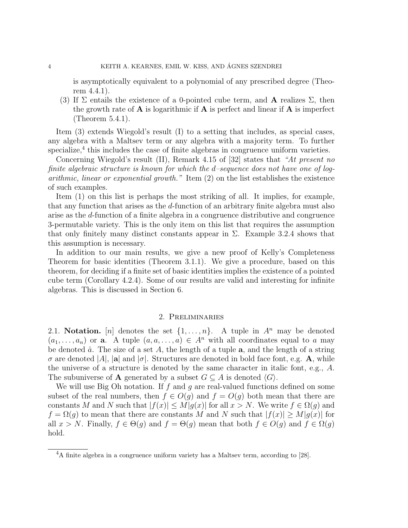is asymptotically equivalent to a polynomial of any prescribed degree (Theorem 4.4.1).

(3) If  $\Sigma$  entails the existence of a 0-pointed cube term, and **A** realizes  $\Sigma$ , then the growth rate of  $A$  is logarithmic if  $A$  is perfect and linear if  $A$  is imperfect (Theorem 5.4.1).

Item (3) extends Wiegold's result (I) to a setting that includes, as special cases, any algebra with a Maltsev term or any algebra with a majority term. To further specialize,<sup>4</sup> this includes the case of finite algebras in congruence uniform varieties.

Concerning Wiegold's result (II), Remark 4.15 of [32] states that "At present no finite algebraic structure is known for which the d–sequence does not have one of logarithmic, linear or exponential growth." Item (2) on the list establishes the existence of such examples.

Item (1) on this list is perhaps the most striking of all. It implies, for example, that any function that arises as the d-function of an arbitrary finite algebra must also arise as the d-function of a finite algebra in a congruence distributive and congruence 3-permutable variety. This is the only item on this list that requires the assumption that only finitely many distinct constants appear in  $\Sigma$ . Example 3.2.4 shows that this assumption is necessary.

In addition to our main results, we give a new proof of Kelly's Completeness Theorem for basic identities (Theorem 3.1.1). We give a procedure, based on this theorem, for deciding if a finite set of basic identities implies the existence of a pointed cube term (Corollary 4.2.4). Some of our results are valid and interesting for infinite algebras. This is discussed in Section 6.

### 2. Preliminaries

2.1. Notation. [n] denotes the set  $\{1, \ldots, n\}$ . A tuple in  $A^n$  may be denoted  $(a_1, \ldots, a_n)$  or **a**. A tuple  $(a, a, \ldots, a) \in A^n$  with all coordinates equal to a may be denoted  $\hat{a}$ . The size of a set A, the length of a tuple **a**, and the length of a string  $\sigma$  are denoted |A|, |a| and | $\sigma$ |. Structures are denoted in bold face font, e.g. A, while the universe of a structure is denoted by the same character in italic font, e.g., A. The subuniverse of **A** generated by a subset  $G \subseteq A$  is denoted  $\langle G \rangle$ .

We will use Big Oh notation. If f and q are real-valued functions defined on some subset of the real numbers, then  $f \in O(g)$  and  $f = O(g)$  both mean that there are constants M and N such that  $|f(x)| \leq M|g(x)|$  for all  $x > N$ . We write  $f \in \Omega(g)$  and  $f = \Omega(g)$  to mean that there are constants M and N such that  $|f(x)| \ge M|g(x)|$  for all  $x > N$ . Finally,  $f \in \Theta(q)$  and  $f = \Theta(q)$  mean that both  $f \in O(q)$  and  $f \in \Omega(q)$ hold.

<sup>&</sup>lt;sup>4</sup>A finite algebra in a congruence uniform variety has a Maltsev term, according to [28].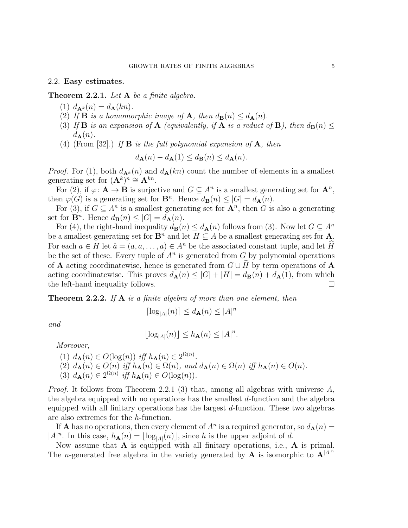#### 2.2. Easy estimates.

Theorem 2.2.1. Let A be a finite algebra.

- (1)  $d_{\mathbf{A}^k}(n) = d_{\mathbf{A}}(kn)$ .
- (2) If **B** is a homomorphic image of **A**, then  $d_{\mathbf{B}}(n) \leq d_{\mathbf{A}}(n)$ .
- (3) If **B** is an expansion of **A** (equivalently, if **A** is a reduct of **B**), then  $d_{\mathbf{B}}(n) \le$  $d_{\mathbf{A}}(n)$ .
- (4) (From [32].) If **B** is the full polynomial expansion of **A**, then

$$
d_{\mathbf{A}}(n) - d_{\mathbf{A}}(1) \le d_{\mathbf{B}}(n) \le d_{\mathbf{A}}(n).
$$

*Proof.* For (1), both  $d_{\mathbf{A}^k}(n)$  and  $d_{\mathbf{A}}(kn)$  count the number of elements in a smallest generating set for  $(\mathbf{A}^k)^n \cong \mathbf{A}^{kn}$ .

For (2), if  $\varphi: \mathbf{A} \to \mathbf{B}$  is surjective and  $G \subseteq A^n$  is a smallest generating set for  $\mathbf{A}^n$ , then  $\varphi(G)$  is a generating set for  $\mathbf{B}^n$ . Hence  $d_{\mathbf{B}}(n) \leq |G| = d_{\mathbf{A}}(n)$ .

For (3), if  $G \subseteq A^n$  is a smallest generating set for  $\mathbf{A}^n$ , then G is also a generating set for  $\mathbf{B}^n$ . Hence  $d_{\mathbf{B}}(n) \leq |G| = d_{\mathbf{A}}(n)$ .

For (4), the right-hand inequality  $d_{\mathbf{B}}(n) \leq d_{\mathbf{A}}(n)$  follows from (3). Now let  $G \subseteq A^n$ be a smallest generating set for  $\mathbf{B}^n$  and let  $H \subseteq A$  be a smallest generating set for **A**. For each  $a \in H$  let  $\hat{a} = (a, a, \dots, a) \in A^n$  be the associated constant tuple, and let H be the set of these. Every tuple of  $A<sup>n</sup>$  is generated from G by polynomial operations of **A** acting coordinatewise, hence is generated from  $G \cup \hat{H}$  by term operations of **A** acting coordinatewise. This proves  $d_{\mathbf{A}}(n) \leq |G| + |H| = d_{\mathbf{B}}(n) + d_{\mathbf{A}}(1)$ , from which the left-hand inequality follows.

**Theorem 2.2.2.** If  $A$  is a finite algebra of more than one element, then

$$
\lceil \log_{|A|}(n) \rceil \le d_{\mathbf{A}}(n) \le |A|^n
$$

and

$$
\lfloor \log_{|A|}(n) \rfloor \le h_{\mathbf{A}}(n) \le |A|^n.
$$

Moreover,

(1)  $d_{\mathbf{A}}(n) \in O(\log(n))$  iff  $h_{\mathbf{A}}(n) \in 2^{\Omega(n)}$ . (2)  $d_{\mathbf{A}}(n) \in O(n)$  iff  $h_{\mathbf{A}}(n) \in \Omega(n)$ , and  $d_{\mathbf{A}}(n) \in \Omega(n)$  iff  $h_{\mathbf{A}}(n) \in O(n)$ . (3)  $d_{\mathbf{A}}(n) \in 2^{\Omega(n)}$  iff  $h_{\mathbf{A}}(n) \in O(\log(n)).$ 

*Proof.* It follows from Theorem 2.2.1 (3) that, among all algebras with universe  $A$ , the algebra equipped with no operations has the smallest d-function and the algebra equipped with all finitary operations has the largest  $d$ -function. These two algebras are also extremes for the h-function.

If **A** has no operations, then every element of  $A^n$  is a required generator, so  $d_{\mathbf{A}}(n) =$  $|A|^n$ . In this case,  $h_{\mathbf{A}}(n) = \lfloor \log_{|A|}(n) \rfloor$ , since h is the upper adjoint of d.

Now assume that  $A$  is equipped with all finitary operations, i.e.,  $A$  is primal. The *n*-generated free algebra in the variety generated by **A** is isomorphic to  $\mathbf{A}^{|A|}$ <sup>n</sup>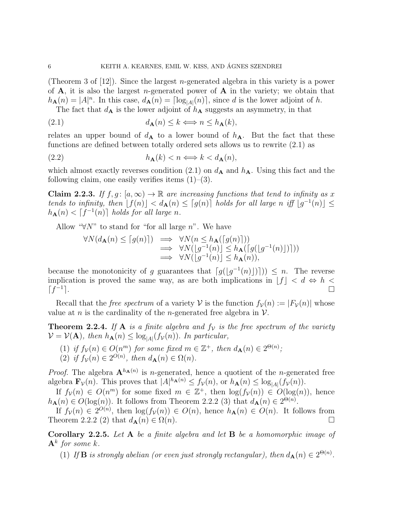(Theorem 3 of  $[12]$ ). Since the largest *n*-generated algebra in this variety is a power of  $A$ , it is also the largest *n*-generated power of  $A$  in the variety; we obtain that  $h_{\mathbf{A}}(n) = |A|^n$ . In this case,  $d_{\mathbf{A}}(n) = \lceil \log_{|A|}(n) \rceil$ , since d is the lower adjoint of h. The fact that  $d_{\mathbf{A}}$  is the lower adjoint of  $h_{\mathbf{A}}$  suggests an asymmetry, in that

(2.1) 
$$
d_{\mathbf{A}}(n) \leq k \Longleftrightarrow n \leq h_{\mathbf{A}}(k),
$$

relates an upper bound of  $d_{\mathbf{A}}$  to a lower bound of  $h_{\mathbf{A}}$ . But the fact that these functions are defined between totally ordered sets allows us to rewrite (2.1) as

$$
(2.2) \t\t\t\t\t h_{\mathbf{A}}(k) < n \Longleftrightarrow k < d_{\mathbf{A}}(n),
$$

which almost exactly reverses condition (2.1) on  $d_{\mathbf{A}}$  and  $h_{\mathbf{A}}$ . Using this fact and the following claim, one easily verifies items  $(1)$ – $(3)$ .

**Claim 2.2.3.** If  $f, g: [a, \infty) \to \mathbb{R}$  are increasing functions that tend to infinity as x tends to infinity, then  $[f(n)] < d_{\mathbf{A}}(n) \leq [g(n)]$  holds for all large n iff  $[g^{-1}(n)] \leq$  $h_{\mathbf{A}}(n) < \lceil f^{-1}(n) \rceil$  holds for all large n.

Allow " $\forall N$ " to stand for "for all large n". We have

$$
\forall N(d_{\mathbf{A}}(n) \leq \lceil g(n) \rceil) \implies \forall N(n \leq h_{\mathbf{A}}(\lceil g(n) \rceil))
$$
  
\n
$$
\implies \forall N(\lfloor g^{-1}(n) \rfloor \leq h_{\mathbf{A}}(\lceil g(\lfloor g^{-1}(n) \rfloor))\rceil))
$$
  
\n
$$
\implies \forall N(\lfloor g^{-1}(n) \rfloor \leq h_{\mathbf{A}}(n)),
$$

because the monotonicity of g guarantees that  $\lceil g(|g^{-1}(n)|) \rceil$ )  $\leq n$ . The reverse implication is proved the same way, as are both implications in  $[f] \langle d \Leftrightarrow h \rangle$  $\lceil f^{-1} \rceil$ e.

Recall that the *free spectrum* of a variety V is the function  $f_{\mathcal{V}}(n) := |F_{\mathcal{V}}(n)|$  whose value at *n* is the cardinality of the *n*-generated free algebra in  $V$ .

**Theorem 2.2.4.** If **A** is a finite algebra and  $f<sub>V</sub>$  is the free spectrum of the variety  $V = V(\mathbf{A})$ , then  $h_{\mathbf{A}}(n) \leq \log_{|A|}(f_{V}(n))$ . In particular,

- (1) if  $f_v(n) \in O(n^m)$  for some fixed  $m \in \mathbb{Z}^+$ , then  $d_{\mathbf{A}}(n) \in 2^{\Theta(n)}$ ;
- (2) if  $f_{\mathcal{V}}(n) \in 2^{O(n)}$ , then  $d_{\mathbf{A}}(n) \in \Omega(n)$ .

*Proof.* The algebra  $\mathbf{A}^{h_{\mathbf{A}}(n)}$  is *n*-generated, hence a quotient of the *n*-generated free algebra  $\mathbf{F}_{\mathcal{V}}(n)$ . This proves that  $|A|^{h_{\mathbf{A}}(n)} \leq f_{\mathcal{V}}(n)$ , or  $h_{\mathbf{A}}(n) \leq \log_{|A|}(f_{\mathcal{V}}(n))$ .

If  $f_v(n) \in O(n^m)$  for some fixed  $m \in \mathbb{Z}^+$ , then  $\log(f_v(n)) \in O(\log(n))$ , hence  $h_{\mathbf{A}}(n) \in O(\log(n))$ . It follows from Theorem 2.2.2 (3) that  $d_{\mathbf{A}}(n) \in 2^{\Theta(n)}$ .

If  $f_v(n) \in 2^{O(n)}$ , then  $\log(f_v(n)) \in O(n)$ , hence  $h_{\mathbf{A}}(n) \in O(n)$ . It follows from Theorem 2.2.2 (2) that  $d_{\mathbf{A}}(n) \in \Omega(n)$ .

**Corollary 2.2.5.** Let A be a finite algebra and let B be a homomorphic image of  ${\bf A}^k$  for some k.

(1) If **B** is strongly abelian (or even just strongly rectangular), then  $d_{\mathbf{A}}(n) \in 2^{\Theta(n)}$ .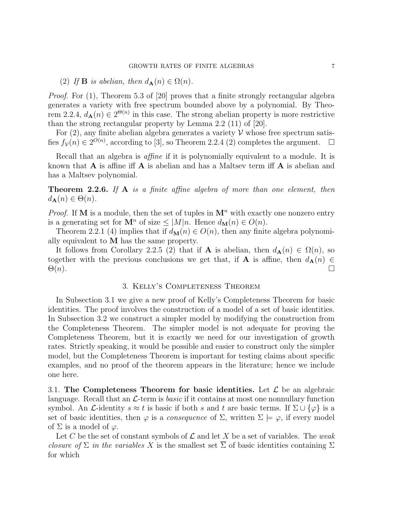(2) If **B** is abelian, then  $d_{\mathbf{A}}(n) \in \Omega(n)$ .

*Proof.* For  $(1)$ , Theorem 5.3 of [20] proves that a finite strongly rectangular algebra generates a variety with free spectrum bounded above by a polynomial. By Theorem 2.2.4,  $d_{\mathbf{A}}(n) \in 2^{\Theta(n)}$  in this case. The strong abelian property is more restrictive than the strong rectangular property by Lemma 2.2 (11) of [20].

For  $(2)$ , any finite abelian algebra generates a variety V whose free spectrum satisfies  $f_v(n) \in 2^{O(n)}$ , according to [3], so Theorem 2.2.4 (2) completes the argument.  $\Box$ 

Recall that an algebra is affine if it is polynomially equivalent to a module. It is known that  $\bf{A}$  is affine iff  $\bf{A}$  is abelian and has a Maltsev term iff  $\bf{A}$  is abelian and has a Maltsev polynomial.

**Theorem 2.2.6.** If  $A$  is a finite affine algebra of more than one element, then  $d_{\mathbf{A}}(n) \in \Theta(n)$ .

*Proof.* If M is a module, then the set of tuples in  $M<sup>n</sup>$  with exactly one nonzero entry is a generating set for  $\mathbf{M}^n$  of size  $\leq |M|n$ . Hence  $d_{\mathbf{M}}(n) \in O(n)$ .

Theorem 2.2.1 (4) implies that if  $d_{\mathbf{M}}(n) \in O(n)$ , then any finite algebra polynomially equivalent to  $M$  has the same property.

It follows from Corollary 2.2.5 (2) that if **A** is abelian, then  $d_{\mathbf{A}}(n) \in \Omega(n)$ , so together with the previous conclusions we get that, if **A** is affine, then  $d_{\mathbf{A}}(n) \in$  $\Theta(n)$ .

## 3. Kelly's Completeness Theorem

In Subsection 3.1 we give a new proof of Kelly's Completeness Theorem for basic identities. The proof involves the construction of a model of a set of basic identities. In Subsection 3.2 we construct a simpler model by modifying the construction from the Completeness Theorem. The simpler model is not adequate for proving the Completeness Theorem, but it is exactly we need for our investigation of growth rates. Strictly speaking, it would be possible and easier to construct only the simpler model, but the Completeness Theorem is important for testing claims about specific examples, and no proof of the theorem appears in the literature; hence we include one here.

3.1. The Completeness Theorem for basic identities. Let  $\mathcal L$  be an algebraic language. Recall that an  $\mathcal{L}$ -term is *basic* if it contains at most one nonnullary function symbol. An *L*-identity  $s \approx t$  is basic if both s and t are basic terms. If  $\Sigma \cup \{\varphi\}$  is a set of basic identities, then  $\varphi$  is a *consequence* of  $\Sigma$ , written  $\Sigma \models \varphi$ , if every model of  $\Sigma$  is a model of  $\varphi$ .

Let C be the set of constant symbols of  $\mathcal L$  and let X be a set of variables. The weak closure of  $\Sigma$  in the variables X is the smallest set  $\overline{\Sigma}$  of basic identities containing  $\Sigma$ for which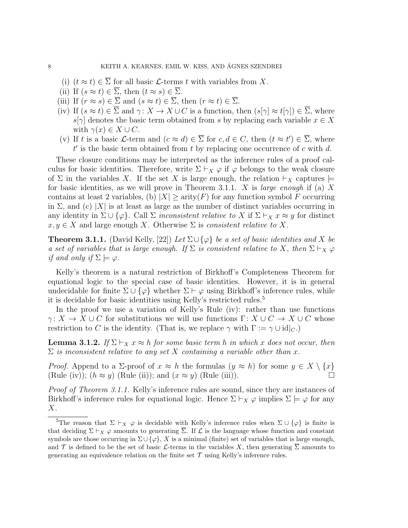- (i)  $(t \approx t) \in \Sigma$  for all basic  $\mathcal{L}$ -terms t with variables from X.
- (ii) If  $(s \approx t) \in \overline{\Sigma}$ , then  $(t \approx s) \in \overline{\Sigma}$ .
- (iii) If  $(r \approx s) \in \overline{\Sigma}$  and  $(s \approx t) \in \overline{\Sigma}$ , then  $(r \approx t) \in \overline{\Sigma}$ .
- (iv) If  $(s \approx t) \in \overline{\Sigma}$  and  $\gamma: X \to X \cup C$  is a function, then  $(s[\gamma] \approx t[\gamma]) \in \overline{\Sigma}$ , where  $s[\gamma]$  denotes the basic term obtained from s by replacing each variable  $x \in X$ with  $\gamma(x) \in X \cup C$ .
- (v) If t is a basic L-term and  $(c \approx d) \in \overline{\Sigma}$  for  $c, d \in C$ , then  $(t \approx t') \in \overline{\Sigma}$ , where  $t'$  is the basic term obtained from t by replacing one occurrence of c with d.

These closure conditions may be interpreted as the inference rules of a proof calculus for basic identities. Therefore, write  $\Sigma \vdash_X \varphi$  if  $\varphi$  belongs to the weak closure of  $\Sigma$  in the variables X. If the set X is large enough, the relation  $\vdash_X$  captures  $\models$ for basic identities, as we will prove in Theorem 3.1.1. X is *large enough* if (a) X contains at least 2 variables, (b)  $|X| \geq \text{arity}(F)$  for any function symbol F occurring in  $\Sigma$ , and (c) |X| is at least as large as the number of distinct variables occurring in any identity in  $\Sigma \cup {\varphi}$ . Call  $\Sigma$  inconsistent relative to X if  $\Sigma \vdash_X x \approx y$  for distinct  $x, y \in X$  and large enough X. Otherwise  $\Sigma$  is consistent relative to X.

**Theorem 3.1.1.** (David Kelly, [22]) Let  $\Sigma \cup {\varphi}$  be a set of basic identities and X be a set of variables that is large enough. If  $\Sigma$  is consistent relative to X, then  $\Sigma \vdash_X \varphi$ if and only if  $\Sigma \models \varphi$ .

Kelly's theorem is a natural restriction of Birkhoff's Completeness Theorem for equational logic to the special case of basic identities. However, it is in general undecidable for finite  $\Sigma \cup {\varphi}$  whether  $\Sigma \vdash \varphi$  using Birkhoff's inference rules, while it is decidable for basic identities using Kelly's restricted rules.<sup>5</sup>

In the proof we use a variation of Kelly's Rule (iv): rather than use functions  $\gamma: X \to X \cup C$  for substitutions we will use functions  $\Gamma: X \cup C \to X \cup C$  whose restriction to C is the identity. (That is, we replace  $\gamma$  with  $\Gamma := \gamma \cup id|_{C}$ .)

**Lemma 3.1.2.** If  $\Sigma \vdash_X x \approx h$  for some basic term h in which x does not occur, then  $\Sigma$  is inconsistent relative to any set X containing a variable other than x.

*Proof.* Append to a  $\Sigma$ -proof of  $x \approx h$  the formulas  $(y \approx h)$  for some  $y \in X \setminus \{x\}$ (Rule (iv));  $(h \approx y)$  (Rule (ii)); and  $(x \approx y)$  (Rule (iii)).

Proof of Theorem 3.1.1. Kelly's inference rules are sound, since they are instances of Birkhoff's inference rules for equational logic. Hence  $\Sigma \vdash_X \varphi$  implies  $\Sigma \models \varphi$  for any  $X$ .

<sup>&</sup>lt;sup>5</sup>The reason that  $\Sigma \vdash_X \varphi$  is decidable with Kelly's inference rules when  $\Sigma \cup {\varphi}$  is finite is that deciding  $\Sigma \vdash_X \varphi$  amounts to generating  $\overline{\Sigma}$ . If  $\mathcal L$  is the language whose function and constant symbols are those occurring in  $\Sigma \cup \{\varphi\}$ , X is a minimal (finite) set of variables that is large enough, and T is defined to be the set of basic L-terms in the variables X, then generating  $\Sigma$  amounts to generating an equivalence relation on the finite set  $\mathcal T$  using Kelly's inference rules.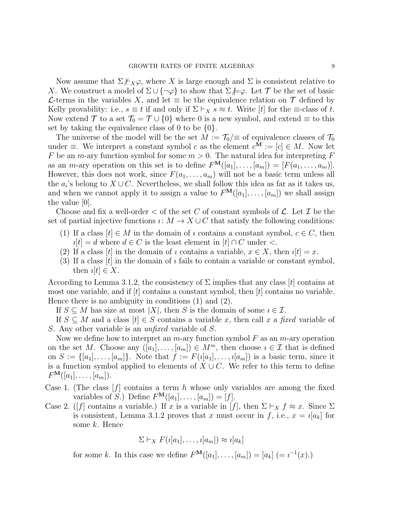Now assume that  $\Sigma \not\models_X \varphi$ , where X is large enough and  $\Sigma$  is consistent relative to X. We construct a model of  $\Sigma \cup \{\neg \varphi\}$  to show that  $\Sigma \not\models \varphi$ . Let T be the set of basic L-terms in the variables X, and let  $\equiv$  be the equivalence relation on  $\tau$  defined by Kelly provability: i.e.,  $s \equiv t$  if and only if  $\Sigma \vdash_X s \approx t$ . Write [t] for the  $\equiv$ -class of t. Now extend  $\mathcal T$  to a set  $\mathcal T_0 = \mathcal T \cup \{0\}$  where 0 is a new symbol, and extend  $\equiv$  to this set by taking the equivalence class of 0 to be  $\{0\}$ .

The universe of the model will be the set  $M := \mathcal{T}_0 \neq 0$  of equivalence classes of  $\mathcal{T}_0$ under  $\equiv$ . We interpret a constant symbol c as the element  $c^{\mathbf{M}} := [c] \in M$ . Now let F be an m-ary function symbol for some  $m > 0$ . The natural idea for interpreting F as an *m*-ary operation on this set is to define  $F^{\mathbf{M}}([a_1], \ldots, [a_m]) = [F(a_1, \ldots, a_m)].$ However, this does not work, since  $F(a_1, \ldots, a_m)$  will not be a basic term unless all the  $a_i$ 's belong to  $X \cup C$ . Nevertheless, we shall follow this idea as far as it takes us, and when we cannot apply it to assign a value to  $F^{\mathbf{M}}([a_1], \ldots, [a_m])$  we shall assign the value [0].

Choose and fix a well-order  $\lt$  of the set C of constant symbols of  $\mathcal{L}$ . Let T be the set of partial injective functions  $\imath: M \to X \cup C$  that satisfy the following conditions:

- (1) If a class  $[t] \in M$  in the domain of  $\imath$  contains a constant symbol,  $c \in C$ , then  $i[t] = d$  where  $d \in C$  is the least element in  $[t] \cap C$  under <.
- (2) If a class  $[t]$  in the domain of *i* contains a variable,  $x \in X$ , then  $i[t] = x$ .
- (3) If a class  $[t]$  in the domain of  $\imath$  fails to contain a variable or constant symbol, then  $i[t] \in X$ .

According to Lemma 3.1.2, the consistency of  $\Sigma$  implies that any class [t] contains at most one variable, and if  $[t]$  contains a constant symbol, then  $[t]$  contains no variable. Hence there is no ambiguity in conditions (1) and (2).

If  $S \subseteq M$  has size at most  $|X|$ , then S is the domain of some  $i \in \mathcal{I}$ .

If  $S \subseteq M$  and a class  $[t] \in S$  contains a variable x, then call x a fixed variable of S. Any other variable is an *unfixed* variable of S.

Now we define how to interpret an  $m$ -ary function symbol  $F$  as an  $m$ -ary operation on the set M. Choose any  $([a_1], \ldots, [a_m]) \in M^m$ , then choose  $i \in \mathcal{I}$  that is defined on  $S := \{ [a_1], \ldots, [a_m] \}.$  Note that  $f := F(i[a_1], \ldots, i[a_m])$  is a basic term, since it is a function symbol applied to elements of  $X \cup C$ . We refer to this term to define  $F^{\mathbf{M}}([a_1], \ldots, [a_m]).$ 

- Case 1. (The class  $[f]$  contains a term h whose only variables are among the fixed variables of S.) Define  $F^{\mathbf{M}}([a_1], \ldots, [a_m]) = [f].$
- Case 2. ([f] contains a variable.) If x is a variable in [f], then  $\Sigma \vdash_X f \approx x$ . Since  $\Sigma$ is consistent, Lemma 3.1.2 proves that x must occur in f, i.e.,  $x = i[a_k]$  for some k. Hence

$$
\Sigma \vdash_X F(i[a_1], \ldots, i[a_m]) \approx i[a_k]
$$

for some k. In this case we define  $F^{\mathbf{M}}([a_1], \ldots, [a_m]) = [a_k] (= i^{-1}(x).)$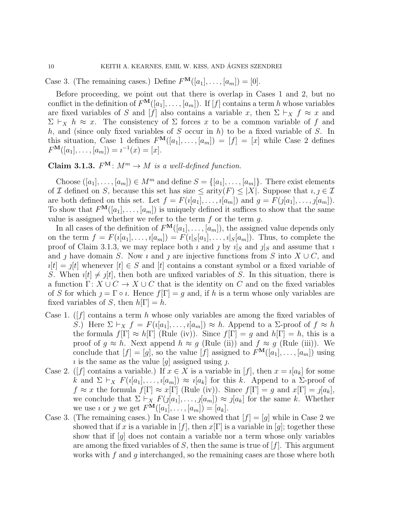Case 3. (The remaining cases.) Define  $F^{\mathbf{M}}([a_1], \ldots, [a_m]) = [0].$ 

Before proceeding, we point out that there is overlap in Cases 1 and 2, but no conflict in the definition of  $F^{\mathbf{M}}([a_1], \ldots, [a_m])$ . If [f] contains a term h whose variables are fixed variables of S and [f] also contains a variable x, then  $\Sigma \vdash_X f \approx x$  and  $\Sigma \vdash_X h \approx x$ . The consistency of  $\Sigma$  forces x to be a common variable of f and h, and (since only fixed variables of  $S$  occur in  $h$ ) to be a fixed variable of  $S$ . In this situation, Case 1 defines  $F^{\mathbf{M}}([a_1], \ldots, [a_m]) = [f] = [x]$  while Case 2 defines  $F^{\mathbf{M}}([a_1], \ldots, [a_m]) = i^{-1}(x) = [x].$ 

Claim 3.1.3.  $F^{\mathbf{M}}: M^m \to M$  is a well-defined function.

Choose  $([a_1], \ldots, [a_m]) \in M^m$  and define  $S = \{[a_1], \ldots, [a_m]\}.$  There exist elements of I defined on S, because this set has size  $\leq$  arity $(F) \leq |X|$ . Suppose that  $i, j \in \mathcal{I}$ are both defined on this set. Let  $f = F(i[a_1], \ldots, i[a_m])$  and  $g = F(j[a_1], \ldots, j[a_m])$ . To show that  $F^{\mathbf{M}}([a_1], \ldots, [a_m])$  is uniquely defined it suffices to show that the same value is assigned whether we refer to the term  $f$  or the term  $g$ .

In all cases of the definition of  $F^{\mathbf{M}}([a_1], \ldots, [a_m])$ , the assigned value depends only on the term  $f = F(i[a_1], \ldots, i[a_m]) = F(i[s[a_1], \ldots, i[s[a_m])$ . Thus, to complete the proof of Claim 3.1.3, we may replace both  $\iota$  and  $\jmath$  by  $\iota|_S$  and  $\jmath|_S$  and assume that  $\iota$ and j have domain S. Now i and j are injective functions from S into  $X \cup C$ , and  $i[t] = j[t]$  whenever  $[t] \in S$  and  $[t]$  contains a constant symbol or a fixed variable of S. When  $i[t] \neq j[t]$ , then both are unfixed variables of S. In this situation, there is a function  $\Gamma: X \cup C \to X \cup C$  that is the identity on C and on the fixed variables of S for which  $j = \Gamma \circ i$ . Hence  $f[\Gamma] = g$  and, if h is a term whose only variables are fixed variables of S, then  $h[\Gamma] = h$ .

- Case 1. (*f*) contains a term h whose only variables are among the fixed variables of S.) Here  $\Sigma \vdash_X f = F(i[a_1], \ldots, i[a_m]) \approx h$ . Append to a  $\Sigma$ -proof of  $f \approx h$ the formula  $f[\Gamma] \approx h[\Gamma]$  (Rule (iv)). Since  $f[\Gamma] = q$  and  $h[\Gamma] = h$ , this is a proof of  $g \approx h$ . Next append  $h \approx g$  (Rule (ii)) and  $f \approx g$  (Rule (iii)). We conclude that  $[f] = [g]$ , so the value  $[f]$  assigned to  $F^{\mathbf{M}}([a_1], \ldots, [a_m])$  using is the same as the value  $[g]$  assigned using j.
- Case 2. ([f] contains a variable.) If  $x \in X$  is a variable in [f], then  $x = \iota[a_k]$  for some k and  $\Sigma \vdash_X F(i[a_1], \ldots, i[a_m]) \approx i[a_k]$  for this k. Append to a  $\Sigma$ -proof of  $f \approx x$  the formula  $f[\Gamma] \approx x[\Gamma]$  (Rule (iv)). Since  $f[\Gamma] = g$  and  $x[\Gamma] = f[a_k],$ we conclude that  $\Sigma \vdash_X F(j[a_1], \ldots, j[a_m]) \approx j[a_k]$  for the same k. Whether we use *i* or *j* we get  $F^{\mathbf{M}}([a_1], \ldots, [a_m]) = [a_k].$
- Case 3. (The remaining cases.) In Case 1 we showed that  $[f] = [g]$  while in Case 2 we showed that if x is a variable in [f], then  $x[\Gamma]$  is a variable in [g]; together these show that if  $[g]$  does not contain a variable nor a term whose only variables are among the fixed variables of  $S$ , then the same is true of  $[f]$ . This argument works with f and q interchanged, so the remaining cases are those where both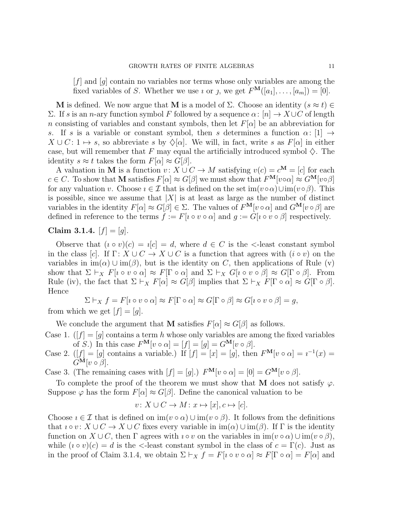$[f]$  and  $[g]$  contain no variables nor terms whose only variables are among the fixed variables of S. Whether we use *i* or *j*, we get  $F^{\mathbf{M}}([a_1], \ldots, [a_m]) = [0].$ 

M is defined. We now argue that M is a model of  $\Sigma$ . Choose an identity  $(s \approx t) \in$ Σ. If s is an n-ary function symbol F followed by a sequence  $\alpha$ : [n] → X∪C of length n consisting of variables and constant symbols, then let  $F[\alpha]$  be an abbreviation for s. If s is a variable or constant symbol, then s determines a function  $\alpha$ : [1]  $\rightarrow$  $X \cup C: 1 \mapsto s$ , so abbreviate s by  $\Diamond[\alpha]$ . We will, in fact, write s as  $F[\alpha]$  in either case, but will remember that F may equal the artificially introduced symbol  $\Diamond$ . The identity  $s \approx t$  takes the form  $F[\alpha] \approx G[\beta]$ .

A valuation in M is a function  $v: X \cup C \to M$  satisfying  $v(c) = c^M = [c]$  for each  $c \in C$ . To show that M satisfies  $F[\alpha] \approx G[\beta]$  we must show that  $F^{\mathbf{M}}[v \circ \alpha] \approx G^{\mathbf{M}}[v \circ \beta]$ for any valuation v. Choose  $\imath \in \mathcal{I}$  that is defined on the set im $(\imath \circ \alpha) \cup \text{im}(\imath \circ \beta)$ . This is possible, since we assume that  $|X|$  is at least as large as the number of distinct variables in the identity  $F[\alpha] \approx G[\beta] \in \Sigma$ . The values of  $F^{\mathbf{M}}[v \circ \alpha]$  and  $G^{\mathbf{M}}[v \circ \beta]$  are defined in reference to the terms  $f := F[i \circ v \circ \alpha]$  and  $q := G[i \circ v \circ \beta]$  respectively.

# Claim 3.1.4.  $[f] = [g]$ .

Observe that  $(i \circ v)(c) = i[c] = d$ , where  $d \in C$  is the  $\leq$ -least constant symbol in the class [c]. If  $\Gamma: X \cup C \to X \cup C$  is a function that agrees with  $(i \circ v)$  on the variables in  $\text{im}(\alpha) \cup \text{im}(\beta)$ , but is the identity on C, then applications of Rule (v) show that  $\Sigma \vdash_X F[i \circ v \circ \alpha] \approx F[\Gamma \circ \alpha]$  and  $\Sigma \vdash_X G[i \circ v \circ \beta] \approx G[\Gamma \circ \beta]$ . From Rule (iv), the fact that  $\Sigma \vdash_X F[\alpha] \approx G[\beta]$  implies that  $\Sigma \vdash_X F[\Gamma \circ \alpha] \approx G[\Gamma \circ \beta]$ . Hence

$$
\Sigma \vdash_X f = F[i \circ v \circ \alpha] \approx F[\Gamma \circ \alpha] \approx G[\Gamma \circ \beta] \approx G[i \circ v \circ \beta] = g,
$$
 from which we get  $[f] = [g].$ 

We conclude the argument that **M** satisfies  $F[\alpha] \approx G[\beta]$  as follows.

Case 1.  $([f] = [g]$  contains a term h whose only variables are among the fixed variables of S.) In this case  $F^{\mathbf{M}}[v \circ \alpha] = [f] = [g] = G^{\mathbf{M}}[v \circ \beta].$ 

Case 2.  $([f] = [g]$  contains a variable.) If  $[f] = [x] = [g]$ , then  $F^{\mathbf{M}}[v \circ \alpha] = i^{-1}(x) =$  $G^{\mathbf{M}}[v \circ \beta].$ 

Case 3. (The remaining cases with  $[f] = [g]$ .)  $F^{\mathbf{M}}[v \circ \alpha] = [0] = G^{\mathbf{M}}[v \circ \beta]$ .

To complete the proof of the theorem we must show that M does not satisfy  $\varphi$ . Suppose  $\varphi$  has the form  $F[\alpha] \approx G[\beta]$ . Define the canonical valuation to be

$$
v \colon X \cup C \to M \colon x \mapsto [x], c \mapsto [c].
$$

Choose  $i \in \mathcal{I}$  that is defined on  $\text{im}(v \circ \alpha) \cup \text{im}(v \circ \beta)$ . It follows from the definitions that  $\iota \circ v : X \cup C \to X \cup C$  fixes every variable in  $\text{im}(\alpha) \cup \text{im}(\beta)$ . If  $\Gamma$  is the identity function on  $X \cup C$ , then  $\Gamma$  agrees with  $i \circ v$  on the variables in  $im(v \circ \alpha) \cup im(v \circ \beta)$ , while  $(i \circ v)(c) = d$  is the  $\le$ -least constant symbol in the class of  $c = \Gamma(c)$ . Just as in the proof of Claim 3.1.4, we obtain  $\Sigma \vdash_X f = F[i \circ v \circ \alpha] \approx F[\Gamma \circ \alpha] = F[\alpha]$  and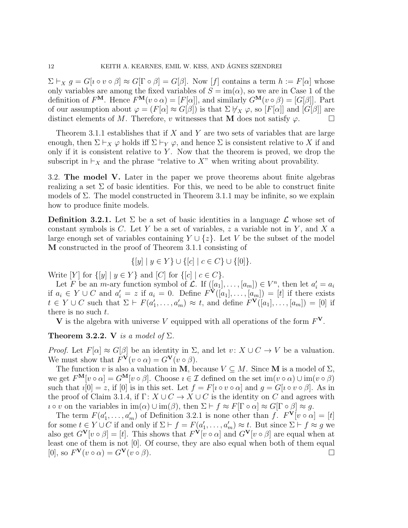$\Sigma \vdash_X g = G[i \circ v \circ \beta] \approx G[\Gamma \circ \beta] = G[\beta]$ . Now  $[f]$  contains a term  $h := F[\alpha]$  whose only variables are among the fixed variables of  $S = \text{im}(\alpha)$ , so we are in Case 1 of the definition of  $F^{\mathbf{M}}$ . Hence  $F^{\mathbf{M}}(v \circ \alpha) = [F[\alpha]]$ , and similarly  $G^{\mathbf{M}}(v \circ \beta) = [G[\beta]]$ . Part of our assumption about  $\varphi = (F[\alpha] \approx G[\beta])$  is that  $\Sigma \nvDash_X \varphi$ , so  $[F[\alpha]]$  and  $[G[\beta]]$  are distinct elements of M. Therefore, v witnesses that M does not satisfy  $\varphi$ .

Theorem 3.1.1 establishes that if  $X$  and  $Y$  are two sets of variables that are large enough, then  $\Sigma \vdash_X \varphi$  holds iff  $\Sigma \vdash_Y \varphi$ , and hence  $\Sigma$  is consistent relative to X if and only if it is consistent relative to  $Y$ . Now that the theorem is proved, we drop the subscript in  $\vdash_X$  and the phrase "relative to X" when writing about provability.

3.2. The model V. Later in the paper we prove theorems about finite algebras realizing a set  $\Sigma$  of basic identities. For this, we need to be able to construct finite models of  $\Sigma$ . The model constructed in Theorem 3.1.1 may be infinite, so we explain how to produce finite models.

**Definition 3.2.1.** Let  $\Sigma$  be a set of basic identities in a language  $\mathcal{L}$  whose set of constant symbols is  $C$ . Let Y be a set of variables, z a variable not in Y, and X a large enough set of variables containing  $Y \cup \{z\}$ . Let V be the subset of the model M constructed in the proof of Theorem 3.1.1 consisting of

$$
\{ [y] \mid y \in Y \} \cup \{ [c] \mid c \in C \} \cup \{ [0] \}.
$$

Write  $[Y]$  for  $\{[y] \mid y \in Y\}$  and  $[C]$  for  $\{[c] \mid c \in C\}$ .

Let F be an m-ary function symbol of  $\mathcal{L}$ . If  $([a_1], \ldots, [a_m]) \in V^n$ , then let  $a'_i = a_i$ if  $a_i \in Y \cup C$  and  $a'_i = z$  if  $a_i = 0$ . Define  $F^{\mathbf{V}}([a_1], \ldots, [a_m]) = [t]$  if there exists  $t \in Y \cup C$  such that  $\Sigma \vdash F(a'_1, \ldots, a'_m) \approx t$ , and define  $F^{\mathbf{V}}([a_1], \ldots, [a_m]) = [0]$  if there is no such t.

V is the algebra with universe V equipped with all operations of the form  $F^V$ .

## Theorem 3.2.2. V is a model of  $\Sigma$ .

*Proof.* Let  $F[\alpha] \approx G[\beta]$  be an identity in  $\Sigma$ , and let  $v: X \cup C \rightarrow V$  be a valuation. We must show that  $F^{\mathbf{V}}(v \circ \alpha) = G^{\mathbf{V}}(v \circ \beta)$ .

The function v is also a valuation in M, because  $V \subseteq M$ . Since M is a model of  $\Sigma$ , we get  $F^{\mathbf{M}}[v \circ \alpha] = G^{\mathbf{M}}[v \circ \beta]$ . Choose  $i \in \mathcal{I}$  defined on the set  $\text{im}(v \circ \alpha) \cup \text{im}(v \circ \beta)$ such that  $i[0] = z$ , if  $[0]$  is in this set. Let  $f = F[i \circ v \circ \alpha]$  and  $g = G[i \circ v \circ \beta]$ . As in the proof of Claim 3.1.4, if  $\Gamma: X \cup C \rightarrow X \cup C$  is the identity on C and agrees with  $\iota \circ v$  on the variables in  $\text{im}(\alpha) \cup \text{im}(\beta)$ , then  $\Sigma \vdash f \approx F[\Gamma \circ \alpha] \approx G[\Gamma \circ \beta] \approx g$ .

The term  $F(a'_1, \ldots, a'_m)$  of Definition 3.2.1 is none other than  $f$ .  $F^{\mathbf{V}}[v \circ \alpha] = [t]$ for some  $t \in Y \cup C$  if and only if  $\Sigma \vdash f = F(a'_1, \ldots, a'_m) \approx t$ . But since  $\Sigma \vdash f \approx g$  we also get  $G^{\mathbf{V}}[v \circ \beta] = [t]$ . This shows that  $F^{\mathbf{V}}[v \circ \alpha]$  and  $G^{\mathbf{V}}[v \circ \beta]$  are equal when at least one of them is not [0]. Of course, they are also equal when both of them equal [0], so  $F^{\mathbf{V}}(v \circ \alpha) = G^{\mathbf{V}}(v \circ \beta)$ .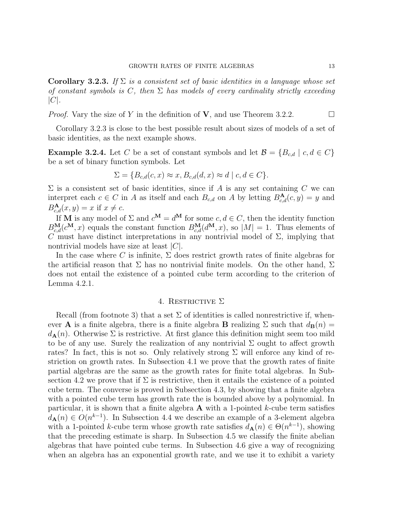**Corollary 3.2.3.** If  $\Sigma$  is a consistent set of basic identities in a language whose set of constant symbols is C, then  $\Sigma$  has models of every cardinality strictly exceeding  $|C|$ .

*Proof.* Vary the size of Y in the definition of **V**, and use Theorem 3.2.2.

Corollary 3.2.3 is close to the best possible result about sizes of models of a set of basic identities, as the next example shows.

**Example 3.2.4.** Let C be a set of constant symbols and let  $\mathcal{B} = \{B_{c,d} \mid c, d \in C\}$ be a set of binary function symbols. Let

$$
\Sigma = \{B_{c,d}(c, x) \approx x, B_{c,d}(d, x) \approx d \mid c, d \in C\}.
$$

 $\Sigma$  is a consistent set of basic identities, since if A is any set containing C we can interpret each  $c \in C$  in A as itself and each  $B_{c,d}$  on A by letting  $B_{c,d}^{A}(c, y) = y$  and  $B_{c,d}^{\mathbf{A}}(x,y) = x$  if  $x \neq c$ .

If **M** is any model of  $\Sigma$  and  $c^{\mathbf{M}} = d^{\mathbf{M}}$  for some  $c, d \in C$ , then the identity function  $B_{c,d}^{\mathbf{M}}(c^{\mathbf{M}},x)$  equals the constant function  $B_{c,d}^{\mathbf{M}}(d^{\mathbf{M}},x)$ , so  $|M|=1$ . Thus elements of C must have distinct interpretations in any nontrivial model of  $\Sigma$ , implying that nontrivial models have size at least  $|C|$ .

In the case where C is infinite,  $\Sigma$  does restrict growth rates of finite algebras for the artificial reason that  $\Sigma$  has no nontrivial finite models. On the other hand,  $\Sigma$ does not entail the existence of a pointed cube term according to the criterion of Lemma 4.2.1.

### 4. RESTRICTIVE  $\Sigma$

Recall (from footnote 3) that a set  $\Sigma$  of identities is called nonrestrictive if, whenever **A** is a finite algebra, there is a finite algebra **B** realizing  $\Sigma$  such that  $d_{\mathbf{B}}(n) =$  $d_{\mathbf{A}}(n)$ . Otherwise  $\Sigma$  is restrictive. At first glance this definition might seem too mild to be of any use. Surely the realization of any nontrivial  $\Sigma$  ought to affect growth rates? In fact, this is not so. Only relatively strong  $\Sigma$  will enforce any kind of restriction on growth rates. In Subsection 4.1 we prove that the growth rates of finite partial algebras are the same as the growth rates for finite total algebras. In Subsection 4.2 we prove that if  $\Sigma$  is restrictive, then it entails the existence of a pointed cube term. The converse is proved in Subsection 4.3, by showing that a finite algebra with a pointed cube term has growth rate the is bounded above by a polynomial. In particular, it is shown that a finite algebra  $A$  with a 1-pointed k-cube term satisfies  $d_{\mathbf{A}}(n) \in O(n^{k-1})$ . In Subsection 4.4 we describe an example of a 3-element algebra with a 1-pointed k-cube term whose growth rate satisfies  $d_{\mathbf{A}}(n) \in \Theta(n^{k-1})$ , showing that the preceding estimate is sharp. In Subsection 4.5 we classify the finite abelian algebras that have pointed cube terms. In Subsection 4.6 give a way of recognizing when an algebra has an exponential growth rate, and we use it to exhibit a variety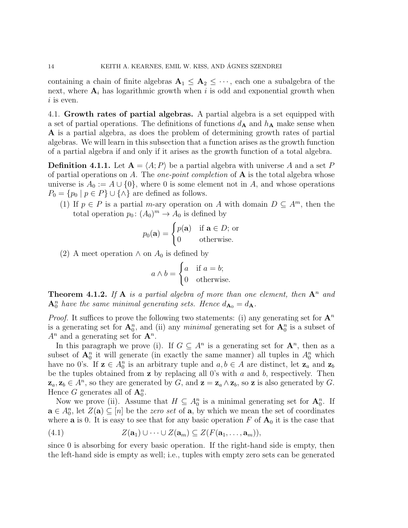containing a chain of finite algebras  $A_1 \leq A_2 \leq \cdots$ , each one a subalgebra of the next, where  $A_i$  has logarithmic growth when i is odd and exponential growth when  $i$  is even.

4.1. Growth rates of partial algebras. A partial algebra is a set equipped with a set of partial operations. The definitions of functions  $d_{\mathbf{A}}$  and  $h_{\mathbf{A}}$  make sense when A is a partial algebra, as does the problem of determining growth rates of partial algebras. We will learn in this subsection that a function arises as the growth function of a partial algebra if and only if it arises as the growth function of a total algebra.

**Definition 4.1.1.** Let  $A = \langle A; P \rangle$  be a partial algebra with universe A and a set P of partial operations on A. The *one-point completion* of  $A$  is the total algebra whose universe is  $A_0 := A \cup \{0\}$ , where 0 is some element not in A, and whose operations  $P_0 = \{p_0 \mid p \in P\} \cup \{\wedge\}$  are defined as follows.

(1) If  $p \in P$  is a partial *m*-ary operation on A with domain  $D \subseteq A^m$ , then the total operation  $p_0: (A_0)^m \to A_0$  is defined by

$$
p_0(\mathbf{a}) = \begin{cases} p(\mathbf{a}) & \text{if } \mathbf{a} \in D; \text{ or} \\ 0 & \text{otherwise.} \end{cases}
$$

(2) A meet operation  $\wedge$  on  $A_0$  is defined by

$$
a \wedge b = \begin{cases} a & \text{if } a = b; \\ 0 & \text{otherwise.} \end{cases}
$$

**Theorem 4.1.2.** If **A** is a partial algebra of more than one element, then  $A^n$  and  $\mathbf{A}_0^n$  have the same minimal generating sets. Hence  $d_{\mathbf{A}_0} = d_{\mathbf{A}}$ .

*Proof.* It suffices to prove the following two statements: (i) any generating set for  $\mathbf{A}^n$ is a generating set for  $\mathbf{A}_0^n$ , and (ii) any minimal generating set for  $\mathbf{A}_0^n$  is a subset of  $A^n$  and a generating set for  $\mathbf{A}^n$ .

In this paragraph we prove (i). If  $G \subseteq A^n$  is a generating set for  $\mathbf{A}^n$ , then as a subset of  $\mathbf{A}_0^n$  it will generate (in exactly the same manner) all tuples in  $A_0^n$  which have no 0's. If  $z \in A_0^n$  is an arbitrary tuple and  $a, b \in A$  are distinct, let  $z_a$  and  $z_b$ be the tuples obtained from  $z$  by replacing all 0's with  $a$  and  $b$ , respectively. Then  $\mathbf{z}_a, \mathbf{z}_b \in A^n$ , so they are generated by G, and  $\mathbf{z} = \mathbf{z}_a \wedge \mathbf{z}_b$ , so  $\mathbf{z}$  is also generated by G. Hence G generates all of  $\mathbf{A}_0^n$ .

Now we prove (ii). Assume that  $H \subseteq A_0^n$  is a minimal generating set for  $\mathbf{A}_0^n$ . If  $\mathbf{a} \in A_0^n$ , let  $Z(\mathbf{a}) \subseteq [n]$  be the *zero set* of  $\mathbf{a}$ , by which we mean the set of coordinates where **a** is 0. It is easy to see that for any basic operation F of  $A_0$  it is the case that

$$
(4.1) \tZ(\mathbf{a}_1) \cup \cdots \cup Z(\mathbf{a}_m) \subseteq Z(F(\mathbf{a}_1, \ldots, \mathbf{a}_m)),
$$

since 0 is absorbing for every basic operation. If the right-hand side is empty, then the left-hand side is empty as well; i.e., tuples with empty zero sets can be generated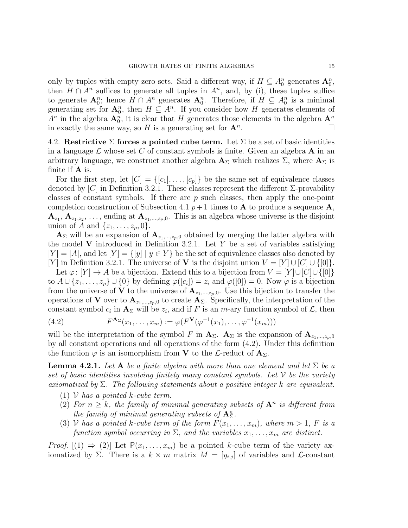only by tuples with empty zero sets. Said a different way, if  $H \subseteq A_0^n$  generates  $A_0^n$ , then  $H \cap A^n$  suffices to generate all tuples in  $A^n$ , and, by (i), these tuples suffice to generate  $\mathbf{A}_0^n$ ; hence  $H \cap A^n$  generates  $\mathbf{A}_0^n$ . Therefore, if  $H \subseteq A_0^n$  is a minimal generating set for  $\mathbf{A}_0^n$ , then  $H \subseteq A^n$ . If you consider how H generates elements of  $A^n$  in the algebra  $\mathbf{A}_0^n$ , it is clear that H generates those elements in the algebra  $\mathbf{A}^n$ in exactly the same way, so H is a generating set for  $\mathbf{A}^n$ . .

4.2. Restrictive  $\Sigma$  forces a pointed cube term. Let  $\Sigma$  be a set of basic identities in a language  $\mathcal L$  whose set C of constant symbols is finite. Given an algebra  $A$  in an arbitrary language, we construct another algebra  $\mathbf{A}_{\Sigma}$  which realizes  $\Sigma$ , where  $\mathbf{A}_{\Sigma}$  is finite if A is.

For the first step, let  $[C] = \{[c_1], \ldots, [c_p]\}$  be the same set of equivalence classes denoted by [C] in Definition 3.2.1. These classes represent the different  $\Sigma$ -provability classes of constant symbols. If there are  $p$  such classes, then apply the one-point completion construction of Subsection 4.1  $p+1$  times to **A** to produce a sequence **A**,  $\mathbf{A}_{z_1}, \mathbf{A}_{z_1,z_2}, \ldots$ , ending at  $\mathbf{A}_{z_1,\ldots,z_p,0}$ . This is an algebra whose universe is the disjoint union of A and  $\{z_1, \ldots, z_p, 0\}.$ 

 $\mathbf{A}_{\Sigma}$  will be an expansion of  $\mathbf{A}_{z_1,\dots,z_p,0}$  obtained by merging the latter algebra with the model V introduced in Definition 3.2.1. Let Y be a set of variables satisfying  $|Y| = |A|$ , and let  $|Y| = \{y \mid y \in Y\}$  be the set of equivalence classes also denoted by [Y] in Definition 3.2.1. The universe of **V** is the disjoint union  $V = |Y| \cup |C| \cup \{0\}$ .

Let  $\varphi: [Y] \to A$  be a bijection. Extend this to a bijection from  $V = [Y] \cup [C] \cup \{[0]\}$ to  $A \cup \{z_1, \ldots, z_p\} \cup \{0\}$  by defining  $\varphi([c_i]) = z_i$  and  $\varphi([0]) = 0$ . Now  $\varphi$  is a bijection from the universe of **V** to the universe of  $A_{z_1,\dots,z_p,0}$ . Use this bijection to transfer the operations of V over to  $\mathbf{A}_{z_1,\dots,z_p,0}$  to create  $\mathbf{A}_{\Sigma}$ . Specifically, the interpretation of the constant symbol  $c_i$  in  $\mathbf{A}_{\Sigma}$  will be  $z_i$ , and if F is an m-ary function symbol of  $\mathcal{L}$ , then

(4.2) 
$$
F^{\mathbf{A}_{\Sigma}}(x_1,\ldots,x_m):=\varphi(F^{\mathbf{V}}(\varphi^{-1}(x_1),\ldots,\varphi^{-1}(x_m)))
$$

will be the interpretation of the symbol F in  $A_{\Sigma}$ .  $A_{\Sigma}$  is the expansion of  $A_{z_1,...,z_n,0}$ by all constant operations and all operations of the form (4.2). Under this definition the function  $\varphi$  is an isomorphism from **V** to the  $\mathcal{L}\text{-reduct of } \mathbf{A}_{\Sigma}$ .

**Lemma 4.2.1.** Let A be a finite algebra with more than one element and let  $\Sigma$  be a set of basic identities involving finitely many constant symbols. Let  $\mathcal V$  be the variety axiomatized by  $\Sigma$ . The following statements about a positive integer k are equivalent.

- (1)  $V$  has a pointed k-cube term.
- (2) For  $n \geq k$ , the family of minimal generating subsets of  $A^n$  is different from the family of minimal generating subsets of  $\mathbf{A}^n_{\Sigma}$ .
- (3) V has a pointed k-cube term of the form  $F(x_1, \ldots, x_m)$ , where  $m > 1$ , F is a function symbol occurring in  $\Sigma$ , and the variables  $x_1, \ldots, x_m$  are distinct.

*Proof.*  $[(1) \Rightarrow (2)]$  Let  $P(x_1, \ldots, x_m)$  be a pointed k-cube term of the variety axiomatized by Σ. There is a  $k \times m$  matrix  $M = [y_{i,j}]$  of variables and *L*-constant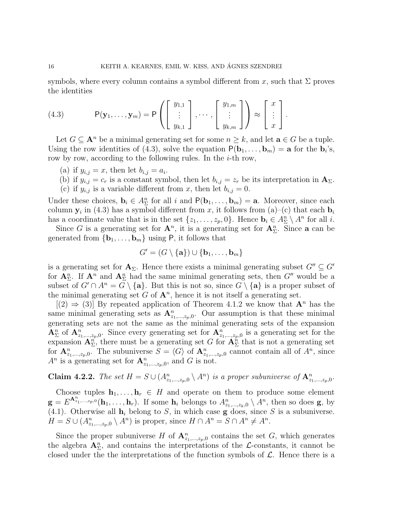symbols, where every column contains a symbol different from x, such that  $\Sigma$  proves the identities

(4.3) 
$$
\mathsf{P}(\mathbf{y}_1,\ldots,\mathbf{y}_m)=\mathsf{P}\left(\left[\begin{array}{c}y_{1,1} \\ \vdots \\ y_{k,1}\end{array}\right],\cdots,\left[\begin{array}{c}y_{1,m} \\ \vdots \\ y_{k,m}\end{array}\right]\right)\approx\left[\begin{array}{c}x \\ \vdots \\ x\end{array}\right].
$$

Let  $G \subseteq \mathbf{A}^n$  be a minimal generating set for some  $n \geq k$ , and let  $\mathbf{a} \in G$  be a tuple. Using the row identities of (4.3), solve the equation  $P(\mathbf{b}_1, \ldots, \mathbf{b}_m) = \mathbf{a}$  for the  $\mathbf{b}_i$ 's, row by row, according to the following rules. In the  $i$ -th row,

- (a) if  $y_{i,j} = x$ , then let  $b_{i,j} = a_i$ .
- (b) if  $y_{i,j} = c_r$  is a constant symbol, then let  $b_{i,j} = z_r$  be its interpretation in  $\mathbf{A}_{\Sigma}$ .
- (c) if  $y_{i,j}$  is a variable different from x, then let  $b_{i,j} = 0$ .

Under these choices,  $\mathbf{b}_i \in A_{\Sigma}^n$  for all i and  $P(\mathbf{b}_1, \ldots, \mathbf{b}_m) = \mathbf{a}$ . Moreover, since each column  $y_i$  in (4.3) has a symbol different from x, it follows from (a)–(c) that each  $b_i$ has a coordinate value that is in the set  $\{z_1, \ldots, z_p, 0\}$ . Hence  $\mathbf{b}_i \in A_{\Sigma}^n \setminus A^n$  for all *i*.

Since G is a generating set for  $\mathbf{A}^n$ , it is a generating set for  $\mathbf{A}^n_{\Sigma}$ . Since **a** can be generated from  $\{b_1, \ldots, b_m\}$  using P, it follows that

$$
G' = (G \setminus \{a\}) \cup \{b_1, \ldots, b_m\}
$$

is a generating set for  $\mathbf{A}_{\Sigma}$ . Hence there exists a minimal generating subset  $G'' \subseteq G'$ for  $\mathbf{A}_{\Sigma}^n$ . If  $\mathbf{A}^n$  and  $\mathbf{A}_{\Sigma}^n$  had the same minimal generating sets, then  $G''$  would be a subset of  $G' \cap A^n = G \setminus \{a\}$ . But this is not so, since  $G \setminus \{a\}$  is a proper subset of the minimal generating set  $G$  of  $\mathbf{A}^n$ , hence it is not itself a generating set.

 $[(2) \Rightarrow (3)]$  By repeated application of Theorem 4.1.2 we know that  $\mathbf{A}^n$  has the same minimal generating sets as  $\mathbf{A}_{z_1,\dots,z_p,0}^n$ . Our assumption is that these minimal generating sets are not the same as the minimal generating sets of the expansion  $\mathbf{A}_{\Sigma}^n$  of  $\mathbf{A}_{z_1,...,z_p,0}^n$ . Since every generating set for  $\mathbf{A}_{z_1,...,z_p,0}^n$  is a generating set for the expansion  $\mathbf{A}_{\Sigma}^{n}$ , there must be a generating set G for  $\mathbf{A}_{\Sigma}^{n}$  that is not a generating set for  $\mathbf{A}_{z_1,\dots,z_p,0}^n$ . The subuniverse  $S = \langle G \rangle$  of  $\mathbf{A}_{z_1,\dots,z_p,0}^n$  cannot contain all of  $A^n$ , since  $A^n$  is a generating set for  $\mathbf{A}^n_{z_1,\ldots,z_p,0}$ , and G is not.

**Claim 4.2.2.** The set  $H = S \cup (A_{z_1,...,z_p,0}^n \setminus A^n)$  is a proper subuniverse of  $\mathbf{A}_{z_1,...,z_p,0}^n$ .

Choose tuples  $\mathbf{h}_1, \ldots, \mathbf{h}_r \in H$  and operate on them to produce some element  $\mathbf{g} = E^{\mathbf{A}_{z_1,\ldots,z_p,0}^n}(\mathbf{h}_1,\ldots,\mathbf{h}_r)$ . If some  $\mathbf{h}_i$  belongs to  $A_{z_1,\ldots,z_k,0}^n \setminus A^n$ , then so does **g**, by (4.1). Otherwise all  $h_i$  belong to S, in which case  $g$  does, since S is a subuniverse.  $H = S \cup (A_{z_1,\dots,z_p,0}^n \setminus A^n)$  is proper, since  $H \cap A^n = S \cap A^n \neq A^n$ .

Since the proper subuniverse H of  $\mathbf{A}_{z_1,\dots,z_p,0}^n$  contains the set G, which generates the algebra  $\mathbf{A}_{\Sigma}^{n}$ , and contains the interpretations of the  $\mathcal{L}$ -constants, it cannot be closed under the the interpretations of the function symbols of  $\mathcal{L}$ . Hence there is a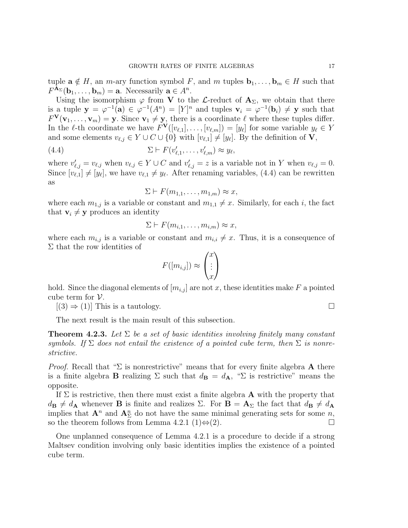tuple  $\mathbf{a} \notin H$ , an *m*-ary function symbol F, and m tuples  $\mathbf{b}_1, \ldots, \mathbf{b}_m \in H$  such that  $F^{\mathbf{A}_{\Sigma}}(\mathbf{b}_1,\ldots,\mathbf{b}_m)=\mathbf{a}$ . Necessarily  $\mathbf{a}\in A^n$ .

Using the isomorphism  $\varphi$  from V to the L-reduct of  $\mathbf{A}_{\Sigma}$ , we obtain that there is a tuple  $y = \varphi^{-1}(a) \in \varphi^{-1}(A^n) = [Y]^n$  and tuples  $v_i = \varphi^{-1}(b_i) \neq y$  such that  $F^{\mathbf{V}}(\mathbf{v}_1,\ldots,\mathbf{v}_m)=\mathbf{y}$ . Since  $\mathbf{v}_1\neq \mathbf{y}$ , there is a coordinate  $\ell$  where these tuples differ. In the  $\ell$ -th coordinate we have  $F^{\mathbf{V}}([v_{\ell,1}], \ldots, [v_{\ell,m}]) = [y_{\ell}]$  for some variable  $y_{\ell} \in Y$ and some elements  $v_{\ell,j} \in Y \cup C \cup \{0\}$  with  $[v_{\ell,1}] \neq [y_{\ell}]$ . By the definition of **V**,

(4.4) 
$$
\Sigma \vdash F(v'_{\ell,1}, \ldots, v'_{\ell,m}) \approx y_{\ell},
$$

where  $v'_{\ell,j} = v_{\ell,j}$  when  $v_{\ell,j} \in Y \cup C$  and  $v'_{\ell,j} = z$  is a variable not in Y when  $v_{\ell,j} = 0$ . Since  $[v_{\ell,1}] \neq [y_{\ell}],$  we have  $v_{\ell,1} \neq y_{\ell}$ . After renaming variables, (4.4) can be rewritten as

$$
\Sigma \vdash F(m_{1,1},\ldots,m_{1,m}) \approx x,
$$

where each  $m_{1,j}$  is a variable or constant and  $m_{1,1} \neq x$ . Similarly, for each i, the fact that  $\mathbf{v}_i \neq \mathbf{y}$  produces an identity

$$
\Sigma \vdash F(m_{i,1},\ldots,m_{i,m}) \approx x,
$$

where each  $m_{i,j}$  is a variable or constant and  $m_{i,i} \neq x$ . Thus, it is a consequence of  $\Sigma$  that the row identities of

$$
F([m_{i,j}]) \approx \begin{pmatrix} x \\ \vdots \\ x \end{pmatrix}
$$

hold. Since the diagonal elements of  $[m_{i,j}]$  are not x, these identities make F a pointed cube term for  $V$ .

 $[(3) \Rightarrow (1)]$  This is a tautology.

The next result is the main result of this subsection.

**Theorem 4.2.3.** Let  $\Sigma$  be a set of basic identities involving finitely many constant symbols. If  $\Sigma$  does not entail the existence of a pointed cube term, then  $\Sigma$  is nonrestrictive.

*Proof.* Recall that " $\Sigma$  is nonrestrictive" means that for every finite algebra **A** there is a finite algebra **B** realizing  $\Sigma$  such that  $d_{\mathbf{B}} = d_{\mathbf{A}}$ , " $\Sigma$  is restrictive" means the opposite.

If  $\Sigma$  is restrictive, then there must exist a finite algebra **A** with the property that  $d_{\mathbf{B}}\neq d_{\mathbf{A}}$  whenever **B** is finite and realizes  $\Sigma$ . For  $\mathbf{B}=\mathbf{A}_{\Sigma}$  the fact that  $d_{\mathbf{B}}\neq d_{\mathbf{A}}$ implies that  $\mathbf{A}^n$  and  $\mathbf{A}^n_{\Sigma}$  do not have the same minimal generating sets for some n, so the theorem follows from Lemma 4.2.1 (1) $\Leftrightarrow$  (2).

One unplanned consequence of Lemma 4.2.1 is a procedure to decide if a strong Maltsev condition involving only basic identities implies the existence of a pointed cube term.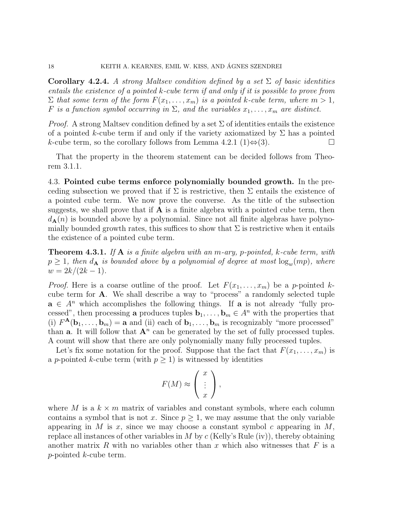**Corollary 4.2.4.** A strong Maltsev condition defined by a set  $\Sigma$  of basic identities entails the existence of a pointed k-cube term if and only if it is possible to prove from  $\Sigma$  that some term of the form  $F(x_1, \ldots, x_m)$  is a pointed k-cube term, where  $m > 1$ , F is a function symbol occurring in  $\Sigma$ , and the variables  $x_1, \ldots, x_m$  are distinct.

*Proof.* A strong Maltsey condition defined by a set  $\Sigma$  of identities entails the existence of a pointed k-cube term if and only if the variety axiomatized by  $\Sigma$  has a pointed k-cube term, so the corollary follows from Lemma 4.2.1 (1) $\Leftrightarrow$  (3).  $\Box$ 

That the property in the theorem statement can be decided follows from Theorem 3.1.1.

4.3. Pointed cube terms enforce polynomially bounded growth. In the preceding subsection we proved that if  $\Sigma$  is restrictive, then  $\Sigma$  entails the existence of a pointed cube term. We now prove the converse. As the title of the subsection suggests, we shall prove that if  $\bf{A}$  is a finite algebra with a pointed cube term, then  $d_{\mathbf{A}}(n)$  is bounded above by a polynomial. Since not all finite algebras have polynomially bounded growth rates, this suffices to show that  $\Sigma$  is restrictive when it entails the existence of a pointed cube term.

**Theorem 4.3.1.** If  $A$  is a finite algebra with an m-ary, p-pointed, k-cube term, with  $p \geq 1$ , then  $d_{\mathbf{A}}$  is bounded above by a polynomial of degree at most  $\log_{w}(mp)$ , where  $w = 2k/(2k - 1).$ 

*Proof.* Here is a coarse outline of the proof. Let  $F(x_1, \ldots, x_m)$  be a p-pointed kcube term for A. We shall describe a way to "process" a randomly selected tuple  $\mathbf{a} \in A^n$  which accomplishes the following things. If  $\mathbf{a}$  is not already "fully processed", then processing a produces tuples  $\mathbf{b}_1, \ldots, \mathbf{b}_m \in A^n$  with the properties that (i)  $F^{\mathbf{A}}(\mathbf{b}_1,\ldots,\mathbf{b}_m) = \mathbf{a}$  and (ii) each of  $\mathbf{b}_1,\ldots,\mathbf{b}_m$  is recognizably "more processed" than **a**. It will follow that  $A^n$  can be generated by the set of fully processed tuples. A count will show that there are only polynomially many fully processed tuples.

Let's fix some notation for the proof. Suppose that the fact that  $F(x_1, \ldots, x_m)$  is a p-pointed k-cube term (with  $p \geq 1$ ) is witnessed by identities

$$
F(M) \approx \left(\begin{array}{c} x \\ \vdots \\ x \end{array}\right),
$$

where M is a  $k \times m$  matrix of variables and constant symbols, where each column contains a symbol that is not x. Since  $p \geq 1$ , we may assume that the only variable appearing in M is x, since we may choose a constant symbol c appearing in  $M$ , replace all instances of other variables in  $M$  by  $c$  (Kelly's Rule (iv)), thereby obtaining another matrix R with no variables other than x which also witnesses that  $F$  is a p-pointed k-cube term.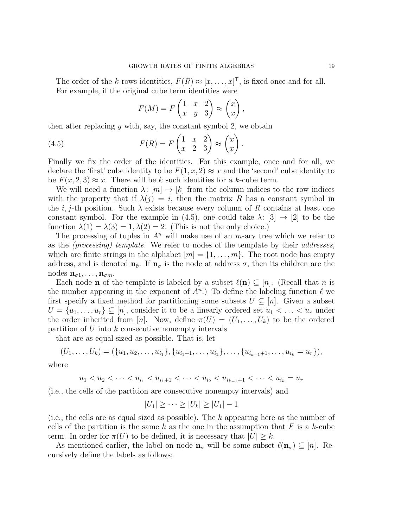The order of the k rows identities,  $F(R) \approx [x, \ldots, x]^{\mathsf{T}}$ , is fixed once and for all. For example, if the original cube term identities were

$$
F(M) = F\begin{pmatrix} 1 & x & 2 \\ x & y & 3 \end{pmatrix} \approx \begin{pmatrix} x \\ x \end{pmatrix},
$$

then after replacing  $y$  with, say, the constant symbol 2, we obtain

(4.5) 
$$
F(R) = F\begin{pmatrix} 1 & x & 2 \\ x & 2 & 3 \end{pmatrix} \approx \begin{pmatrix} x \\ x \end{pmatrix}.
$$

Finally we fix the order of the identities. For this example, once and for all, we declare the 'first' cube identity to be  $F(1, x, 2) \approx x$  and the 'second' cube identity to be  $F(x, 2, 3) \approx x$ . There will be k such identities for a k-cube term.

We will need a function  $\lambda: [m] \to [k]$  from the column indices to the row indices with the property that if  $\lambda(j) = i$ , then the matrix R has a constant symbol in the *i*, *j*-th position. Such  $\lambda$  exists because every column of R contains at least one constant symbol. For the example in (4.5), one could take  $\lambda: |3] \rightarrow |2|$  to be the function  $\lambda(1) = \lambda(3) = 1, \lambda(2) = 2$ . (This is not the only choice.)

The processing of tuples in  $A<sup>n</sup>$  will make use of an m-ary tree which we refer to as the (processing) template. We refer to nodes of the template by their addresses, which are finite strings in the alphabet  $[m] = \{1, \ldots, m\}$ . The root node has empty address, and is denoted  $n_{\emptyset}$ . If  $n_{\sigma}$  is the node at address  $\sigma$ , then its children are the nodes  $\mathbf{n}_{\sigma 1}, \ldots, \mathbf{n}_{\sigma m}$ .

Each node **n** of the template is labeled by a subset  $\ell(n) \subseteq [n]$ . (Recall that n is the number appearing in the exponent of  $A<sup>n</sup>$ .) To define the labeling function  $\ell$  we first specify a fixed method for partitioning some subsets  $U \subseteq [n]$ . Given a subset  $U = \{u_1, \ldots, u_r\} \subseteq [n]$ , consider it to be a linearly ordered set  $u_1 < \ldots < u_r$  under the order inherited from [n]. Now, define  $\pi(U) = (U_1, \ldots, U_k)$  to be the ordered partition of  $U$  into  $k$  consecutive nonempty intervals

that are as equal sized as possible. That is, let

$$
(U_1,\ldots,U_k)=(\{u_1,u_2,\ldots,u_{i_1}\},\{u_{i_1+1},\ldots,u_{i_2}\},\ldots,\{u_{i_{k-1}+1},\ldots,u_{i_k}=u_r\}),
$$

where

$$
u_1 < u_2 < \cdots < u_{i_1} < u_{i_1+1} < \cdots < u_{i_2} < u_{i_{k-1}+1} < \cdots < u_{i_k} = u_r
$$

(i.e., the cells of the partition are consecutive nonempty intervals) and

$$
|U_1| \geq \cdots \geq |U_k| \geq |U_1| - 1
$$

(i.e., the cells are as equal sized as possible). The  $k$  appearing here as the number of cells of the partition is the same k as the one in the assumption that F is a k-cube term. In order for  $\pi(U)$  to be defined, it is necessary that  $|U| \geq k$ .

As mentioned earlier, the label on node  $n_{\sigma}$  will be some subset  $\ell(n_{\sigma}) \subseteq |n|$ . Recursively define the labels as follows: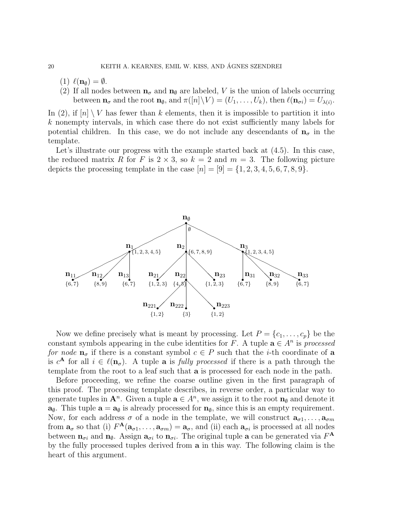- (1)  $\ell(\mathbf{n}_{\emptyset}) = \emptyset$ .
- (2) If all nodes between  $\mathbf{n}_{\sigma}$  and  $\mathbf{n}_{\emptyset}$  are labeled, V is the union of labels occurring between  $\mathbf{n}_{\sigma}$  and the root  $\mathbf{n}_{\emptyset}$ , and  $\pi([n]\backslash V) = (U_1,\ldots,U_k)$ , then  $\ell(\mathbf{n}_{\sigma i}) = U_{\lambda(i)}$ .

In (2), if  $[n] \setminus V$  has fewer than k elements, then it is impossible to partition it into k nonempty intervals, in which case there do not exist sufficiently many labels for potential children. In this case, we do not include any descendants of  $n_{\sigma}$  in the template.

Let's illustrate our progress with the example started back at  $(4.5)$ . In this case, the reduced matrix R for F is  $2 \times 3$ , so  $k = 2$  and  $m = 3$ . The following picture depicts the processing template in the case  $[n] = [9] = \{1, 2, 3, 4, 5, 6, 7, 8, 9\}.$ 



Now we define precisely what is meant by processing. Let  $P = \{c_1, \ldots, c_p\}$  be the constant symbols appearing in the cube identities for F. A tuple  $\mathbf{a} \in A^n$  is processed for node  $n_{\sigma}$  if there is a constant symbol  $c \in P$  such that the *i*-th coordinate of a is  $c^{\mathbf{A}}$  for all  $i \in \ell(\mathbf{n}_{\sigma})$ . A tuple **a** is *fully processed* if there is a path through the template from the root to a leaf such that a is processed for each node in the path.

Before proceeding, we refine the coarse outline given in the first paragraph of this proof. The processing template describes, in reverse order, a particular way to generate tuples in  $\mathbf{A}^n$ . Given a tuple  $\mathbf{a} \in A^n$ , we assign it to the root  $\mathbf{n}_{\emptyset}$  and denote it  $\mathbf{a}_{\emptyset}$ . This tuple  $\mathbf{a} = \mathbf{a}_{\emptyset}$  is already processed for  $\mathbf{n}_{\emptyset}$ , since this is an empty requirement. Now, for each address  $\sigma$  of a node in the template, we will construct  $\mathbf{a}_{\sigma 1}, \ldots, \mathbf{a}_{\sigma m}$ from  $\mathbf{a}_{\sigma}$  so that (i)  $F^{\mathbf{A}}(\mathbf{a}_{\sigma 1},...,\mathbf{a}_{\sigma m}) = \mathbf{a}_{\sigma}$ , and (ii) each  $\mathbf{a}_{\sigma i}$  is processed at all nodes between  $\mathbf{n}_{\sigma i}$  and  $\mathbf{n}_{\phi}$ . Assign  $\mathbf{a}_{\sigma i}$  to  $\mathbf{n}_{\sigma i}$ . The original tuple **a** can be generated via  $F^{\mathbf{A}}$ by the fully processed tuples derived from a in this way. The following claim is the heart of this argument.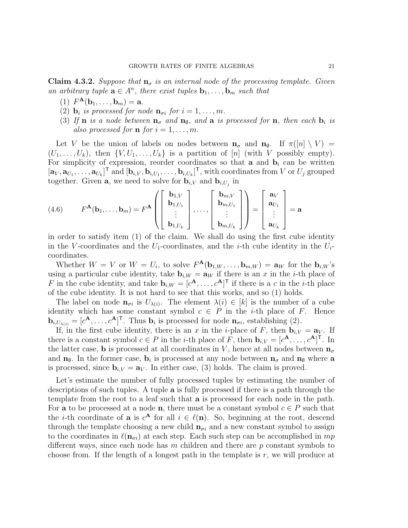**Claim 4.3.2.** Suppose that  $\mathbf{n}_{\sigma}$  is an internal node of the processing template. Given an arbitrary tuple  $\mathbf{a} \in A^n$ , there exist tuples  $\mathbf{b}_1, \ldots, \mathbf{b}_m$  such that

- (1)  $F^{\mathbf{A}}(\mathbf{b}_1, ..., \mathbf{b}_m) = \mathbf{a}.$
- (2)  $\mathbf{b}_i$  is processed for node  $\mathbf{n}_{\sigma i}$  for  $i = 1, \ldots, m$ .
- (3) If **n** is a node between  $\mathbf{n}_{\sigma}$  and  $\mathbf{n}_{\emptyset}$ , and **a** is processed for **n**, then each  $\mathbf{b}_i$  is also processed for **n** for  $i = 1, \ldots, m$ .

Let V be the union of labels on nodes between  $\mathbf{n}_{\sigma}$  and  $\mathbf{n}_{\phi}$ . If  $\pi([n] \setminus V)$  =  $(U_1, \ldots, U_k)$ , then  $\{V, U_1, \ldots, U_k\}$  is a partition of [n] (with V possibly empty). For simplicity of expression, reorder coordinates so that **a** and  $\mathbf{b}_i$  can be written  $[\mathbf{a}_V, \mathbf{a}_{U_1}, \dots, \mathbf{a}_{U_k}]^{\mathsf{T}}$  and  $[\mathbf{b}_{i,V}, \mathbf{b}_{i,U_1}, \dots, \mathbf{b}_{i,U_k}]^{\mathsf{T}}$ , with coordinates from V or  $U_j$  grouped together. Given **a**, we need to solve for  $\mathbf{b}_{i,V}$  and  $\mathbf{b}_{i,U_j}$  in

(4.6) 
$$
F^{\mathbf{A}}(\mathbf{b}_1, ..., \mathbf{b}_m) = F^{\mathbf{A}} \left( \begin{bmatrix} \mathbf{b}_{1,V} \\ \mathbf{b}_{1,U_1} \\ \vdots \\ \mathbf{b}_{1,U_k} \end{bmatrix}, ..., \begin{bmatrix} \mathbf{b}_{m,V} \\ \mathbf{b}_{m,U_1} \\ \vdots \\ \mathbf{b}_{m,U_k} \end{bmatrix} \right) = \begin{bmatrix} \mathbf{a}_V \\ \mathbf{a}_{U_1} \\ \vdots \\ \mathbf{a}_{U_k} \end{bmatrix} = \mathbf{a}
$$

in order to satisfy item (1) of the claim. We shall do using the first cube identity in the V-coordinates and the  $U_1$ -coordinates, and the *i*-th cube identity in the  $U_i$ coordinates.

Whether  $W = V$  or  $W = U_i$ , to solve  $F^{\mathbf{A}}(\mathbf{b}_{1,W},\ldots,\mathbf{b}_{m,W}) = \mathbf{a}_W$  for the  $\mathbf{b}_{i,W}$ 's using a particular cube identity, take  $\mathbf{b}_{i,W} = \mathbf{a}_W$  if there is an x in the i-th place of F in the cube identity, and take  $\mathbf{b}_{i,W} = [c^{\mathbf{A}}, \dots, c^{\mathbf{A}}]^{\mathsf{T}}$  if there is a c in the *i*-th place of the cube identity. It is not hard to see that this works, and so (1) holds.

The label on node  $\mathbf{n}_{\sigma i}$  is  $U_{\lambda(i)}$ . The element  $\lambda(i) \in [k]$  is the number of a cube identity which has some constant symbol  $c \in P$  in the *i*-th place of *F*. Hence  $\mathbf{b}_{i,U_{\lambda(i)}} = [c^{\mathbf{A}}, \ldots, c^{\mathbf{A}}]^{\mathsf{T}}$ . Thus  $\mathbf{b}_i$  is processed for node  $\mathbf{n}_{\sigma(i)}$ , establishing (2).

If, in the first cube identity, there is an x in the *i*-place of F, then  $\mathbf{b}_{i,V} = \mathbf{a}_V$ . If there is a constant symbol  $c \in P$  in the *i*-th place of F, then  $\mathbf{b}_{i,V} = [c^{\mathbf{A}}, \ldots, c^{\mathbf{A}}]^{\mathsf{T}}$ . In the latter case, b is processed at all coordinates in V, hence at all nodes between  $\mathbf{n}_{\sigma}$ and  $n_{\phi}$ . In the former case,  $b_i$  is processed at any node between  $n_{\sigma}$  and  $n_{\phi}$  where a is processed, since  $\mathbf{b}_{i,V} = \mathbf{a}_V$ . In either case, (3) holds. The claim is proved.

Let's estimate the number of fully processed tuples by estimating the number of descriptions of such tuples. A tuple a is fully processed if there is a path through the template from the root to a leaf such that a is processed for each node in the path. For **a** to be processed at a node **n**, there must be a constant symbol  $c \in P$  such that the *i*-th coordinate of **a** is  $c^{\mathbf{A}}$  for all  $i \in \ell(\mathbf{n})$ . So, beginning at the root, descend through the template choosing a new child  $n_{\sigma i}$  and a new constant symbol to assign to the coordinates in  $\ell(n_{\sigma i})$  at each step. Each such step can be accomplished in mp different ways, since each node has  $m$  children and there are  $p$  constant symbols to choose from. If the length of a longest path in the template is r, we will produce at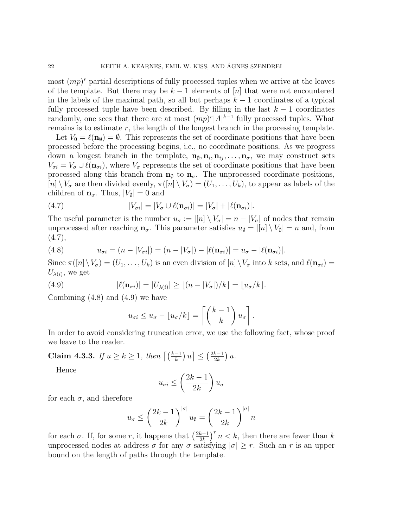most  $(mp)^r$  partial descriptions of fully processed tuples when we arrive at the leaves of the template. But there may be  $k-1$  elements of  $[n]$  that were not encountered in the labels of the maximal path, so all but perhaps  $k - 1$  coordinates of a typical fully processed tuple have been described. By filling in the last  $k - 1$  coordinates randomly, one sees that there are at most  $(mp)^r|A|^{k-1}$  fully processed tuples. What remains is to estimate  $r$ , the length of the longest branch in the processing template.

Let  $V_0 = \ell(\mathbf{n}_{\emptyset}) = \emptyset$ . This represents the set of coordinate positions that have been processed before the processing begins, i.e., no coordinate positions. As we progress down a longest branch in the template,  $\mathbf{n}_{\emptyset}, \mathbf{n}_{i}, \mathbf{n}_{ij}, \ldots, \mathbf{n}_{\sigma}$ , we may construct sets  $V_{\sigma i} = V_{\sigma} \cup \ell(n_{\sigma i})$ , where  $V_{\sigma}$  represents the set of coordinate positions that have been processed along this branch from  $n_{\emptyset}$  to  $n_{\sigma}$ . The unprocessed coordinate positions,  $[n] \setminus V_{\sigma}$  are then divided evenly,  $\pi([n] \setminus V_{\sigma}) = (U_1, \ldots, U_k)$ , to appear as labels of the children of  $\mathbf{n}_{\sigma}$ . Thus,  $|V_{\emptyset}| = 0$  and

(4.7) 
$$
|V_{\sigma i}| = |V_{\sigma} \cup \ell(\mathbf{n}_{\sigma i})| = |V_{\sigma}| + |\ell(\mathbf{n}_{\sigma i})|.
$$

The useful parameter is the number  $u_{\sigma} := |[n] \setminus V_{\sigma}| = n - |V_{\sigma}|$  of nodes that remain unprocessed after reaching  $\mathbf{n}_{\sigma}$ . This parameter satisfies  $u_{\emptyset} = |[n] \setminus V_{\emptyset}| = n$  and, from  $(4.7),$ 

(4.8) 
$$
u_{\sigma i} = (n - |V_{\sigma i}|) = (n - |V_{\sigma}|) - |\ell(\mathbf{n}_{\sigma i})| = u_{\sigma} - |\ell(\mathbf{n}_{\sigma i})|.
$$

Since  $\pi([n]\setminus V_{\sigma})=(U_1,\ldots,U_k)$  is an even division of  $[n]\setminus V_{\sigma}$  into k sets, and  $\ell(\mathbf{n}_{\sigma i})=$  $U_{\lambda(i)}$ , we get

(4.9) 
$$
|\ell(\mathbf{n}_{\sigma i})| = |U_{\lambda(i)}| \geq \lfloor (n - |V_{\sigma}|)/k \rfloor = \lfloor u_{\sigma}/k \rfloor.
$$

Combining  $(4.8)$  and  $(4.9)$  we have

$$
u_{\sigma i} \leq u_{\sigma} - \lfloor u_{\sigma}/k \rfloor = \left\lceil \left( \frac{k-1}{k} \right) u_{\sigma} \right\rceil.
$$

In order to avoid considering truncation error, we use the following fact, whose proof we leave to the reader.

Claim 4.3.3. If  $u \ge k \ge 1$ , then  $\left\lceil \left(\frac{k-1}{k}\right)u\right\rceil \le \left(\frac{2k-1}{2k}\right)$  $rac{k-1}{2k}$ )  $u$ .

Hence

$$
u_{\sigma i} \le \left(\frac{2k-1}{2k}\right)u_{\sigma}
$$

for each  $\sigma$ , and therefore

$$
u_{\sigma} \le \left(\frac{2k-1}{2k}\right)^{|\sigma|} u_{\emptyset} = \left(\frac{2k-1}{2k}\right)^{|\sigma|} n
$$

for each  $\sigma$ . If, for some r, it happens that  $\left(\frac{2k-1}{2k}\right)$  $\left(\frac{k-1}{2k}\right)^r n < k$ , then there are fewer than k unprocessed nodes at address  $\sigma$  for any  $\sigma$  satisfying  $|\sigma| \geq r$ . Such an r is an upper bound on the length of paths through the template.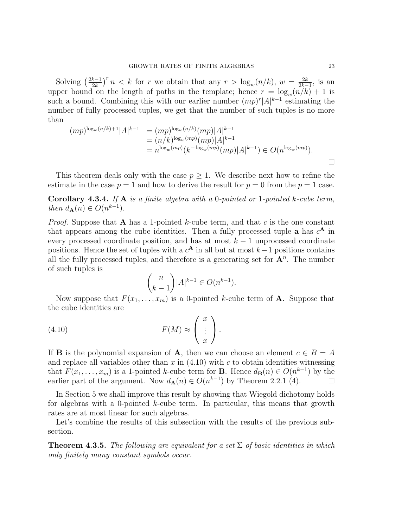Solving  $\left(\frac{2k-1}{2k}\right)$  $\frac{k-1}{2k}$   $\int^r n < k$  for r we obtain that any  $r > \log_w(n/k)$ ,  $w = \frac{2k}{2k-1}$  $\frac{2k}{2k-1}$ , is an upper bound on the length of paths in the template; hence  $r = \log_{w}(n/k) + 1$  is such a bound. Combining this with our earlier number  $(mp)^{r} |A|^{k-1}$  estimating the number of fully processed tuples, we get that the number of such tuples is no more than

$$
(mp)^{\log_w(n/k)+1}|A|^{k-1} = (mp)^{\log_w(n/k)}(mp)|A|^{k-1}
$$
  
=  $(n/k)^{\log_w(mp)}(mp)|A|^{k-1}$   
=  $n^{\log_w(mp)}(k^{-\log_w(mp)}(mp)|A|^{k-1}) \in O(n^{\log_w(mp)}).$ 

This theorem deals only with the case  $p \geq 1$ . We describe next how to refine the estimate in the case  $p = 1$  and how to derive the result for  $p = 0$  from the  $p = 1$  case.

**Corollary 4.3.4.** If  $A$  is a finite algebra with a 0-pointed or 1-pointed k-cube term, then  $d_{\mathbf{A}}(n) \in O(n^{k-1}).$ 

*Proof.* Suppose that **A** has a 1-pointed k-cube term, and that c is the one constant that appears among the cube identities. Then a fully processed tuple **a** has  $c^{\mathbf{A}}$  in every processed coordinate position, and has at most  $k-1$  unprocessed coordinate positions. Hence the set of tuples with a  $c^{\mathbf{A}}$  in all but at most  $k-1$  positions contains all the fully processed tuples, and therefore is a generating set for  $A<sup>n</sup>$ . The number of such tuples is

$$
\binom{n}{k-1} |A|^{k-1} \in O(n^{k-1}).
$$

Now suppose that  $F(x_1, \ldots, x_m)$  is a 0-pointed k-cube term of **A**. Suppose that the cube identities are

(4.10) 
$$
F(M) \approx \begin{pmatrix} x \\ \vdots \\ x \end{pmatrix}.
$$

If **B** is the polynomial expansion of **A**, then we can choose an element  $c \in B = A$ and replace all variables other than  $x$  in  $(4.10)$  with  $c$  to obtain identities witnessing that  $F(x_1, \ldots, x_m)$  is a 1-pointed k-cube term for **B**. Hence  $d_{\mathbf{B}}(n) \in O(n^{k-1})$  by the earlier part of the argument. Now  $d_{\mathbf{A}}(n) \in O(n^{k-1})$  by Theorem 2.2.1 (4).

In Section 5 we shall improve this result by showing that Wiegold dichotomy holds for algebras with a 0-pointed k-cube term. In particular, this means that growth rates are at most linear for such algebras.

Let's combine the results of this subsection with the results of the previous subsection.

**Theorem 4.3.5.** The following are equivalent for a set  $\Sigma$  of basic identities in which only finitely many constant symbols occur.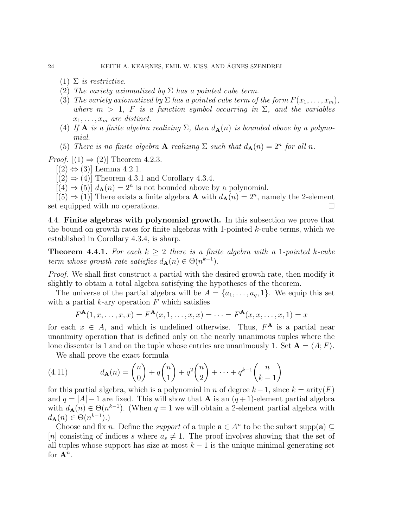- (1)  $\Sigma$  is restrictive.
- (2) The variety axiomatized by  $\Sigma$  has a pointed cube term.
- (3) The variety axiomatized by  $\Sigma$  has a pointed cube term of the form  $F(x_1, \ldots, x_m)$ , where  $m > 1$ , F is a function symbol occurring in  $\Sigma$ , and the variables  $x_1, \ldots, x_m$  are distinct.
- (4) If **A** is a finite algebra realizing  $\Sigma$ , then  $d_{\mathbf{A}}(n)$  is bounded above by a polynomial.
- (5) There is no finite algebra **A** realizing  $\Sigma$  such that  $d_{\mathbf{A}}(n) = 2^n$  for all n.

*Proof.*  $[(1) \Rightarrow (2)]$  Theorem 4.2.3.

 $[(2) \Leftrightarrow (3)]$  Lemma 4.2.1.

 $[(2) \Rightarrow (4)]$  Theorem 4.3.1 and Corollary 4.3.4.

 $[(4) \Rightarrow (5)] d_{\mathbf{A}}(n) = 2^n$  is not bounded above by a polynomial.

 $[(5) \Rightarrow (1)]$  There exists a finite algebra **A** with  $d_{\mathbf{A}}(n) = 2^n$ , namely the 2-element set equipped with no operations.

4.4. Finite algebras with polynomial growth. In this subsection we prove that the bound on growth rates for finite algebras with 1-pointed  $k$ -cube terms, which we established in Corollary 4.3.4, is sharp.

**Theorem 4.4.1.** For each  $k \geq 2$  there is a finite algebra with a 1-pointed k-cube term whose growth rate satisfies  $d_{\mathbf{A}}(n) \in \Theta(n^{k-1})$ .

*Proof.* We shall first construct a partial with the desired growth rate, then modify it slightly to obtain a total algebra satisfying the hypotheses of the theorem.

The universe of the partial algebra will be  $A = \{a_1, \ldots, a_q, 1\}$ . We equip this set with a partial  $k$ -ary operation  $F$  which satisfies

$$
F^{\mathbf{A}}(1, x, \dots, x, x) = F^{\mathbf{A}}(x, 1, \dots, x, x) = \dots = F^{\mathbf{A}}(x, x, \dots, x, 1) = x
$$

for each  $x \in A$ , and which is undefined otherwise. Thus,  $F^{\mathbf{A}}$  is a partial near unanimity operation that is defined only on the nearly unanimous tuples where the lone dissenter is 1 and on the tuple whose entries are unanimously 1. Set  $\mathbf{A} = \langle A; F \rangle$ .

We shall prove the exact formula

(4.11) 
$$
d_{\mathbf{A}}(n) = {n \choose 0} + q {n \choose 1} + q^2 {n \choose 2} + \dots + q^{k-1} {n \choose k-1}
$$

for this partial algebra, which is a polynomial in n of degree  $k-1$ , since  $k = \text{arity}(F)$ and  $q = |A| - 1$  are fixed. This will show that **A** is an  $(q + 1)$ -element partial algebra with  $d_{\mathbf{A}}(n) \in \Theta(n^{k-1})$ . (When  $q = 1$  we will obtain a 2-element partial algebra with  $d_{\mathbf{A}}(n) \in \Theta(n^{k-1}).$ 

Choose and fix *n*. Define the *support* of a tuple  $\mathbf{a} \in A^n$  to be the subset supp( $\mathbf{a}$ )  $\subseteq$ [n] consisting of indices s where  $a_s \neq 1$ . The proof involves showing that the set of all tuples whose support has size at most  $k - 1$  is the unique minimal generating set for  $\mathbf{A}^n$ .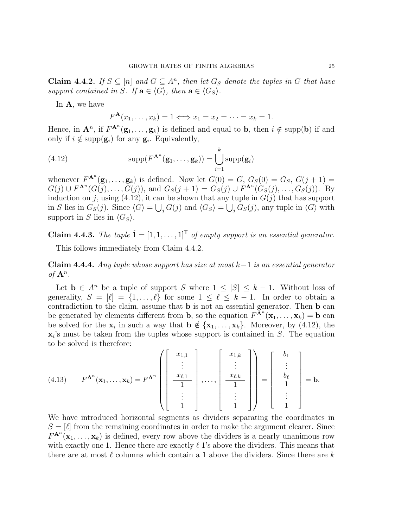**Claim 4.4.2.** If  $S \subseteq [n]$  and  $G \subseteq A^n$ , then let  $G_S$  denote the tuples in G that have support contained in S. If  $\mathbf{a} \in \langle G \rangle$ , then  $\mathbf{a} \in \langle G_S \rangle$ .

In A, we have

$$
F^{\mathbf{A}}(x_1,\ldots,x_k)=1 \Longleftrightarrow x_1=x_2=\cdots=x_k=1.
$$

Hence, in  $\mathbf{A}^n$ , if  $F^{\mathbf{A}^n}(\mathbf{g}_1,\ldots,\mathbf{g}_k)$  is defined and equal to **b**, then  $i \notin \text{supp}(\mathbf{b})$  if and only if  $i \notin \text{supp}(\mathbf{g}_i)$  for any  $\mathbf{g}_i$ . Equivalently,

(4.12) 
$$
\text{supp}(F^{\mathbf{A}^n}(\mathbf{g}_1,\ldots,\mathbf{g}_k)) = \bigcup_{i=1}^k \text{supp}(\mathbf{g}_i)
$$

whenever  $F^{\mathbf{A}^n}(\mathbf{g}_1,\ldots,\mathbf{g}_k)$  is defined. Now let  $G(0) = G$ ,  $G_S(0) = G_S$ ,  $G(j+1) =$  $G(j) \cup F^{\mathbf{A}^n}(G(j), \ldots, G(j)),$  and  $G_S(j+1) = G_S(j) \cup F^{\mathbf{A}^n}(G_S(j), \ldots, G_S(j)).$  By induction on j, using (4.12), it can be shown that any tuple in  $G(j)$  that has support in S lies in  $G_S(j)$ . Since  $\langle G \rangle = \bigcup_j G(j)$  and  $\langle G_S \rangle = \bigcup_j G_S(j)$ , any tuple in  $\langle G \rangle$  with support in S lies in  $\langle G_S \rangle$ .

Claim 4.4.3. The tuple  $\hat{1} = [1, 1, \ldots, 1]^T$  of empty support is an essential generator.

This follows immediately from Claim 4.4.2.

**Claim 4.4.4.** Any tuple whose support has size at most  $k-1$  is an essential generator of  $A^n$ .

Let  $\mathbf{b} \in A^n$  be a tuple of support S where  $1 \leq |S| \leq k-1$ . Without loss of generality,  $S = [\ell] = \{1, ..., \ell\}$  for some  $1 \leq \ell \leq k - 1$ . In order to obtain a contradiction to the claim, assume that **b** is not an essential generator. Then **b** can be generated by elements different from **b**, so the equation  $F^{\mathbf{A}^n}(\mathbf{x}_1,\ldots,\mathbf{x}_k) = \mathbf{b}$  can be solved for the  $x_i$  in such a way that  $\mathbf{b} \notin \{x_1, \ldots, x_k\}$ . Moreover, by (4.12), the  $\mathbf{x}_i$ 's must be taken from the tuples whose support is contained in S. The equation to be solved is therefore:

$$
(4.13) \tFAn(x1,...,xk) = FAn \left( \begin{bmatrix} x_{1,1} \\ \vdots \\ x_{\ell,1} \\ \hline 1 \\ \vdots \\ 1 \end{bmatrix}, \dots, \begin{bmatrix} x_{1,k} \\ \vdots \\ x_{\ell,k} \\ \hline 1 \\ \vdots \\ 1 \end{bmatrix} \right) = \begin{bmatrix} b_1 \\ \vdots \\ b_\ell \\ \hline 1 \\ \vdots \\ 1 \end{bmatrix} = b.
$$

We have introduced horizontal segments as dividers separating the coordinates in  $S = [\ell]$  from the remaining coordinates in order to make the argument clearer. Since  $F^{\mathbf{A}^n}(\mathbf{x}_1,\ldots,\mathbf{x}_k)$  is defined, every row above the dividers is a nearly unanimous row with exactly one 1. Hence there are exactly  $\ell$  1's above the dividers. This means that there are at most  $\ell$  columns which contain a 1 above the dividers. Since there are k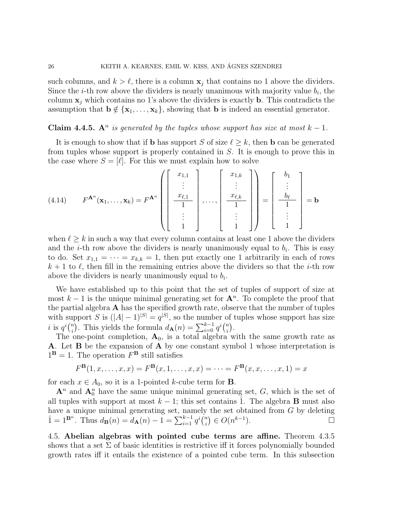such columns, and  $k > \ell$ , there is a column  $x_i$  that contains no 1 above the dividers. Since the *i*-th row above the dividers is nearly unanimous with majority value  $b_i$ , the column  $x_j$  which contains no 1's above the dividers is exactly **b**. This contradicts the assumption that  $\mathbf{b} \notin \{\mathbf{x}_1, \ldots, \mathbf{x}_k\}$ , showing that **b** is indeed an essential generator.

## Claim 4.4.5. A<sup>n</sup> is generated by the tuples whose support has size at most  $k-1$ .

It is enough to show that if **b** has support S of size  $\ell \geq k$ , then **b** can be generated from tuples whose support is properly contained in S. It is enough to prove this in the case where  $S = [\ell]$ . For this we must explain how to solve

$$
(4.14) \qquad F^{\mathbf{A}^n}(\mathbf{x}_1,\ldots,\mathbf{x}_k) = F^{\mathbf{A}^n} \left( \begin{bmatrix} x_{1,1} \\ \vdots \\ x_{\ell,1} \\ \hline 1 \\ \vdots \\ 1 \end{bmatrix}, \ldots, \begin{bmatrix} x_{1,k} \\ \vdots \\ x_{\ell,k} \\ \hline 1 \\ \vdots \\ 1 \end{bmatrix} \right) = \begin{bmatrix} b_1 \\ \vdots \\ b_\ell \\ \hline 1 \\ \vdots \\ 1 \end{bmatrix} = \mathbf{b}
$$

when  $\ell > k$  in such a way that every column contains at least one 1 above the dividers and the *i*-th row above the dividers is nearly unanimously equal to  $b_i$ . This is easy to do. Set  $x_{1,1} = \cdots = x_{k,k} = 1$ , then put exactly one 1 arbitrarily in each of rows  $k + 1$  to  $\ell$ , then fill in the remaining entries above the dividers so that the *i*-th row above the dividers is nearly unanimously equal to  $b_i$ .

We have established up to this point that the set of tuples of support of size at most  $k-1$  is the unique minimal generating set for  $\mathbf{A}^n$ . To complete the proof that the partial algebra A has the specified growth rate, observe that the number of tuples with support S is  $(|A|-1)^{|S|} = q^{|S|}$ , so the number of tuples whose support has size i is  $q^i\binom{n}{i}$ <sup>n</sup><sub>i</sub>). This yields the formula  $d_{\mathbf{A}}(n) = \sum_{i=0}^{k-1} q^i {n \choose i}$  $\binom{n}{i}$ .

The one-point completion,  $A_0$ , is a total algebra with the same growth rate as A. Let B be the expansion of A by one constant symbol 1 whose interpretation is  $1^{\mathbf{B}} = 1$ . The operation  $F^{\mathbf{B}}$  still satisfies

$$
F^{\mathbf{B}}(1, x, \dots, x, x) = F^{\mathbf{B}}(x, 1, \dots, x, x) = \dots = F^{\mathbf{B}}(x, x, \dots, x, 1) = x
$$

for each  $x \in A_0$ , so it is a 1-pointed k-cube term for **B**.

 ${\bf A}^n$  and  ${\bf A}_0^n$  have the same unique minimal generating set, G, which is the set of all tuples with support at most  $k - 1$ ; this set contains 1. The algebra **B** must also have a unique minimal generating set, namely the set obtained from G by deleting  $\hat{1} = 1^{\mathbf{B}^n}$ . Thus  $d_{\mathbf{B}}(n) = d_{\mathbf{A}}(n) - 1 = \sum_{i=1}^{k-1} q^i {n \choose i}$  $\binom{n}{i} \in O(n^{k-1})$ ).  $\qquad \qquad \square$ 

4.5. Abelian algebras with pointed cube terms are affine. Theorem 4.3.5 shows that a set  $\Sigma$  of basic identities is restrictive iff it forces polynomially bounded growth rates iff it entails the existence of a pointed cube term. In this subsection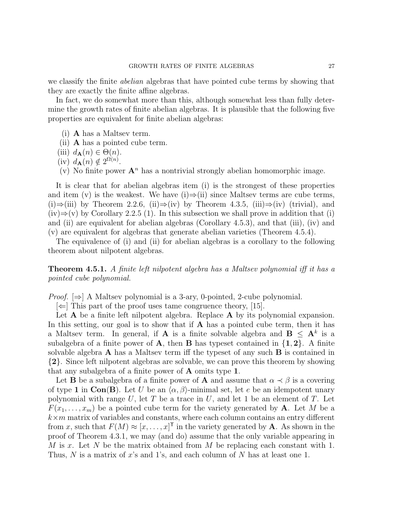we classify the finite abelian algebras that have pointed cube terms by showing that they are exactly the finite affine algebras.

In fact, we do somewhat more than this, although somewhat less than fully determine the growth rates of finite abelian algebras. It is plausible that the following five properties are equivalent for finite abelian algebras:

- (i) A has a Maltsev term.
- (ii) A has a pointed cube term.
- (iii)  $d_{\mathbf{A}}(n) \in \Theta(n)$ .
- (iv)  $d_{\mathbf{A}}(n) \notin 2^{\Omega(n)}$ .
- (v) No finite power  $\mathbf{A}^n$  has a nontrivial strongly abelian homomorphic image.

It is clear that for abelian algebras item (i) is the strongest of these properties and item (v) is the weakest. We have (i) $\Rightarrow$ (ii) since Maltsev terms are cube terms, (i)⇒(iii) by Theorem 2.2.6, (ii)⇒(iv) by Theorem 4.3.5, (iii)⇒(iv) (trivial), and  $(iv) \Rightarrow (v)$  by Corollary 2.2.5 (1). In this subsection we shall prove in addition that (i) and (ii) are equivalent for abelian algebras (Corollary 4.5.3), and that (iii), (iv) and (v) are equivalent for algebras that generate abelian varieties (Theorem 4.5.4).

The equivalence of (i) and (ii) for abelian algebras is a corollary to the following theorem about nilpotent algebras.

Theorem 4.5.1. A finite left nilpotent algebra has a Maltsev polynomial iff it has a pointed cube polynomial.

*Proof.*  $[\Rightarrow]$  A Maltsey polynomial is a 3-ary, 0-pointed, 2-cube polynomial.

 $|\Leftarrow|$  This part of the proof uses tame congruence theory, [15].

Let  $A$  be a finite left nilpotent algebra. Replace  $A$  by its polynomial expansion. In this setting, our goal is to show that if  $A$  has a pointed cube term, then it has a Maltsev term. In general, if **A** is a finite solvable algebra and  $B \leq A^k$  is a subalgebra of a finite power of **A**, then **B** has typeset contained in  $\{1, 2\}$ . A finite solvable algebra  $\bf{A}$  has a Maltsev term iff the typeset of any such  $\bf{B}$  is contained in {2}. Since left nilpotent algebras are solvable, we can prove this theorem by showing that any subalgebra of a finite power of A omits type 1.

Let **B** be a subalgebra of a finite power of **A** and assume that  $\alpha \prec \beta$  is a covering of type 1 in Con(B). Let U be an  $\langle \alpha, \beta \rangle$ -minimal set, let e be an idempotent unary polynomial with range  $U$ , let  $T$  be a trace in  $U$ , and let 1 be an element of  $T$ . Let  $F(x_1, \ldots, x_m)$  be a pointed cube term for the variety generated by **A**. Let M be a  $k \times m$  matrix of variables and constants, where each column contains an entry different from x, such that  $F(M) \approx [x, \ldots, x]^T$  in the variety generated by **A**. As shown in the proof of Theorem 4.3.1, we may (and do) assume that the only variable appearing in M is x. Let N be the matrix obtained from M be replacing each constant with 1. Thus,  $N$  is a matrix of x's and 1's, and each column of  $N$  has at least one 1.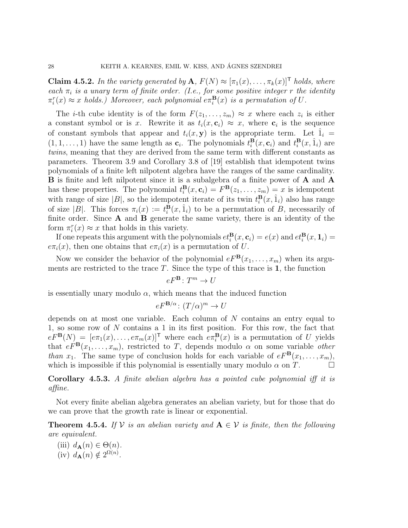**Claim 4.5.2.** In the variety generated by  $\mathbf{A}, F(N) \approx [\pi_1(x), \ldots, \pi_k(x)]^{\mathsf{T}}$  holds, where each  $\pi_i$  is a unary term of finite order. (I.e., for some positive integer r the identity  $\pi_i^r(x) \approx x$  holds.) Moreover, each polynomial  $e\pi_i^{\mathbf{B}}(x)$  is a permutation of U.

The *i*-th cube identity is of the form  $F(z_1, \ldots, z_m) \approx x$  where each  $z_i$  is either a constant symbol or is x. Rewrite it as  $t_i(x, c_i) \approx x$ , where  $c_i$  is the sequence of constant symbols that appear and  $t_i(x, y)$  is the appropriate term. Let  $\hat{1}_i =$  $(1, 1, \ldots, 1)$  have the same length as  $c_i$ . The polynomials  $t_i^{\mathbf{B}}(x, c_i)$  and  $t_i^{\mathbf{B}}(x, \hat{1}_i)$  are twins, meaning that they are derived from the same term with different constants as parameters. Theorem 3.9 and Corollary 3.8 of [19] establish that idempotent twins polynomials of a finite left nilpotent algebra have the ranges of the same cardinality. B is finite and left nilpotent since it is a subalgebra of a finite power of A and A has these properties. The polynomial  $t_i^{\mathbf{B}}(x, \mathbf{c}_i) = F^{\mathbf{B}}(z_1, \ldots, z_m) = x$  is idempotent with range of size |B|, so the idempotent iterate of its twin  $t_i^{\mathbf{B}}(x, \hat{1}_i)$  also has range of size |B|. This forces  $\pi_i(x) := t_i^{\mathbf{B}}(x, \hat{1}_i)$  to be a permutation of B, necessarily of finite order. Since  $A$  and  $B$  generate the same variety, there is an identity of the form  $\pi_i^r(x) \approx x$  that holds in this variety.

If one repeats this argument with the polynomials  $et_i^{\mathbf{B}}(x, \mathbf{c}_i) = e(x)$  and  $et_i^{\mathbf{B}}(x, \mathbf{1}_i) =$  $e\pi_i(x)$ , then one obtains that  $e\pi_i(x)$  is a permutation of U.

Now we consider the behavior of the polynomial  $eF^{\mathbf{B}}(x_1, \ldots, x_m)$  when its arguments are restricted to the trace  $T$ . Since the type of this trace is 1, the function

$$
eF^{\mathbf{B}}\colon T^{m}\to U
$$

is essentially unary modulo  $\alpha$ , which means that the induced function

$$
eF^{\mathbf{B}/\alpha} \colon (T/\alpha)^m \to U
$$

depends on at most one variable. Each column of  $N$  contains an entry equal to 1, so some row of N contains a 1 in its first position. For this row, the fact that  $eF^{\mathbf{B}}(N) = [e\pi_1(x), \ldots, e\pi_m(x)]^{\mathsf{T}}$  where each  $e\pi_i^{\mathbf{B}}(x)$  is a permutation of U yields that  $eF^{\mathbf{B}}(x_1,\ldots,x_m)$ , restricted to T, depends modulo  $\alpha$  on some variable *other* than  $x_1$ . The same type of conclusion holds for each variable of  $eF^{\mathbf{B}}(x_1, \ldots, x_m)$ , which is impossible if this polynomial is essentially unary modulo  $\alpha$  on T.

Corollary 4.5.3. A finite abelian algebra has a pointed cube polynomial iff it is affine.

Not every finite abelian algebra generates an abelian variety, but for those that do we can prove that the growth rate is linear or exponential.

**Theorem 4.5.4.** If  $V$  is an abelian variety and  $A \in V$  is finite, then the following are equivalent.

(iii)  $d_{\mathbf{A}}(n) \in \Theta(n)$ . (iv)  $d_{\mathbf{A}}(n) \notin 2^{\Omega(n)}$ .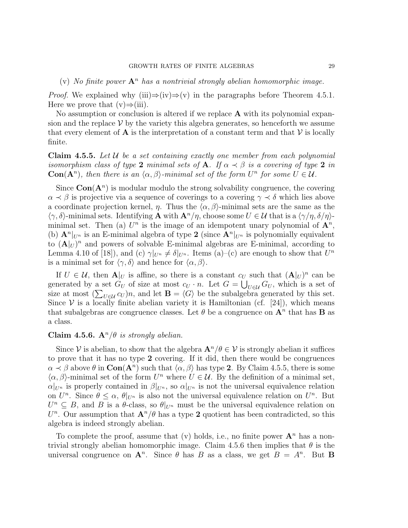(v) No finite power  $\mathbf{A}^n$  has a nontrivial strongly abelian homomorphic image.

*Proof.* We explained why (iii) $\Rightarrow$ (iv) $\Rightarrow$ (v) in the paragraphs before Theorem 4.5.1. Here we prove that  $(v) \Rightarrow (iii)$ .

No assumption or conclusion is altered if we replace  $A$  with its polynomial expansion and the replace  $V$  by the variety this algebra generates, so henceforth we assume that every element of **A** is the interpretation of a constant term and that  $V$  is locally finite.

**Claim 4.5.5.** Let  $U$  be a set containing exactly one member from each polynomial isomorphism class of type 2 minimal sets of A. If  $\alpha \prec \beta$  is a covering of type 2 in  $Con(A<sup>n</sup>)$ , then there is an  $\langle \alpha, \beta \rangle$ -minimal set of the form  $U<sup>n</sup>$  for some  $U \in \mathcal{U}$ .

Since  $Con(A<sup>n</sup>)$  is modular modulo the strong solvability congruence, the covering  $\alpha \prec \beta$  is projective via a sequence of coverings to a covering  $\gamma \prec \delta$  which lies above a coordinate projection kernel,  $\eta$ . Thus the  $\langle \alpha, \beta \rangle$ -minimal sets are the same as the  $\langle \gamma, \delta \rangle$ -minimal sets. Identifying **A** with  $\mathbf{A}^n/\eta$ , choose some  $U \in \mathcal{U}$  that is a  $\langle \gamma/\eta, \delta/\eta \rangle$ minimal set. Then (a)  $U^n$  is the image of an idempotent unary polynomial of  $\mathbf{A}^n$ , (b)  $\mathbf{A}^n|_{U^n}$  is an E-minimal algebra of type 2 (since  $\mathbf{A}^n|_{U^n}$  is polynomially equivalent to  $(\mathbf{A}|_U)^n$  and powers of solvable E-minimal algebras are E-minimal, according to Lemma 4.10 of [18]), and (c)  $\gamma|_{U^n} \neq \delta|_{U^n}$ . Items (a)–(c) are enough to show that  $U^n$ is a minimal set for  $\langle \gamma, \delta \rangle$  and hence for  $\langle \alpha, \beta \rangle$ .

If  $U \in \mathcal{U}$ , then  $\mathbf{A}|_U$  is affine, so there is a constant  $c_U$  such that  $(\mathbf{A}|_U)^n$  can be generated by a set  $G_U$  of size at most  $c_U \cdot n$ . Let  $G = \bigcup_{U \in \mathcal{U}} G_U$ , which is a set of size at most  $(\sum_{U \in \mathcal{U}} c_U) n$ , and let  $\mathbf{B} = \langle G \rangle$  be the subalgebra generated by this set. Since  $V$  is a locally finite abelian variety it is Hamiltonian (cf. [24]), which means that subalgebras are congruence classes. Let  $\theta$  be a congruence on  $\mathbf{A}^n$  that has **B** as a class.

### Claim 4.5.6.  $A^n/\theta$  is strongly abelian.

Since V is abelian, to show that the algebra  $\mathbf{A}^n/\theta \in \mathcal{V}$  is strongly abelian it suffices to prove that it has no type 2 covering. If it did, then there would be congruences  $\alpha \prec \beta$  above  $\theta$  in  $\text{Con}(A^n)$  such that  $\langle \alpha, \beta \rangle$  has type 2. By Claim 4.5.5, there is some  $\langle \alpha, \beta \rangle$ -minimal set of the form  $U^n$  where  $U \in \mathcal{U}$ . By the definition of a minimal set,  $\alpha|_{U^n}$  is properly contained in  $\beta|_{U^n}$ , so  $\alpha|_{U^n}$  is not the universal equivalence relation on  $U^n$ . Since  $\theta \leq \alpha$ ,  $\theta|_{U^n}$  is also not the universal equivalence relation on  $U^n$ . But  $U^n \subseteq B$ , and B is a  $\theta$ -class, so  $\theta|_{U^n}$  must be the universal equivalence relation on  $U<sup>n</sup>$ . Our assumption that  $\mathbf{A}^n/\theta$  has a type 2 quotient has been contradicted, so this algebra is indeed strongly abelian.

To complete the proof, assume that (v) holds, i.e., no finite power  $A<sup>n</sup>$  has a nontrivial strongly abelian homomorphic image. Claim 4.5.6 then implies that  $\theta$  is the universal congruence on  $\mathbf{A}^n$ . Since  $\theta$  has B as a class, we get  $B = A^n$ . But **B**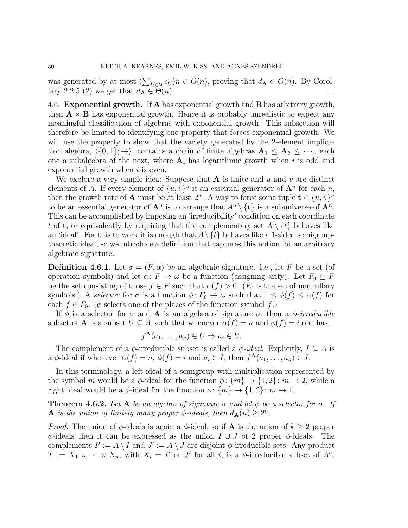was generated by at most  $(\sum_{U \in \mathcal{U}} c_U) n \in O(n)$ , proving that  $d_{\mathbf{A}} \in O(n)$ . By Corollary 2.2.5 (2) we get that  $d_{\mathbf{A}} \in \Theta(n)$ .

4.6. Exponential growth. If A has exponential growth and B has arbitrary growth, then  $\mathbf{A} \times \mathbf{B}$  has exponential growth. Hence it is probably unrealistic to expect any meaningful classification of algebras with exponential growth. This subsection will therefore be limited to identifying one property that forces exponential growth. We will use the property to show that the variety generated by the 2-element implication algebra,  $\langle \{0, 1\}; \rightarrow \rangle$ , contains a chain of finite algebras  $\mathbf{A}_1 \leq \mathbf{A}_2 \leq \cdots$ , each one a subalgebra of the next, where  $A_i$  has logarithmic growth when i is odd and exponential growth when  $i$  is even.

We explore a very simple idea: Suppose that  $A$  is finite and  $u$  and  $v$  are distinct elements of A. If every element of  $\{u, v\}^n$  is an essential generator of  $\mathbf{A}^n$  for each n, then the growth rate of **A** must be at least  $2^n$ . A way to force some tuple  $\mathbf{t} \in \{u, v\}^n$ to be an essential generator of  $\mathbf{A}^n$  is to arrange that  $A^n \setminus {\{\mathbf{t}\}}$  is a subuniverse of  $\mathbf{A}^n$ . This can be accomplished by imposing an 'irreducibility' condition on each coordinate t of **t**, or equivalently by requiring that the complementary set  $A \setminus \{t\}$  behaves like an 'ideal'. For this to work it is enough that  $A \setminus \{t\}$  behaves like a 1-sided semigrouptheoretic ideal, so we introduce a definition that captures this notion for an arbitrary algebraic signature.

**Definition 4.6.1.** Let  $\sigma = (F, \alpha)$  be an algebraic signature. I.e., let F be a set (of operation symbols) and let  $\alpha: F \to \omega$  be a function (assigning arity). Let  $F_0 \subseteq F$ be the set consisting of those  $f \in F$  such that  $\alpha(f) > 0$ . ( $F_0$  is the set of nonnullary symbols.) A selector for  $\sigma$  is a function  $\phi: F_0 \to \omega$  such that  $1 \leq \phi(f) \leq \alpha(f)$  for each  $f \in F_0$ . ( $\phi$  selects one of the places of the function symbol f.)

If  $\phi$  is a selector for  $\sigma$  and **A** is an algebra of signature  $\sigma$ , then a  $\phi$ -irreducible subset of **A** is a subset  $U \subseteq A$  such that whenever  $\alpha(f) = n$  and  $\phi(f) = i$  one has

$$
f^{\mathbf{A}}(a_1,\ldots,a_n) \in U \Rightarrow a_i \in U.
$$

The complement of a  $\phi$ -irreducible subset is called a  $\phi$ -ideal. Explicitly,  $I \subseteq A$  is a  $\phi$ -ideal if whenever  $\alpha(f) = n$ ,  $\phi(f) = i$  and  $a_i \in I$ , then  $f^{\mathbf{A}}(a_1, \ldots, a_n) \in I$ .

In this terminology, a left ideal of a semigroup with multiplication represented by the symbol m would be a  $\phi$ -ideal for the function  $\phi$ :  $\{m\} \rightarrow \{1,2\}$ :  $m \mapsto 2$ , while a right ideal would be a  $\phi$ -ideal for the function  $\phi$ :  $\{m\} \rightarrow \{1,2\}$ :  $m \mapsto 1$ .

**Theorem 4.6.2.** Let A be an algebra of signature  $\sigma$  and let  $\phi$  be a selector for  $\sigma$ . If **A** is the union of finitely many proper  $\phi$ -ideals, then  $d_{\mathbf{A}}(n) \geq 2^n$ .

*Proof.* The union of  $\phi$ -ideals is again a  $\phi$ -ideal, so if **A** is the union of  $k \geq 2$  proper  $\phi$ -ideals then it can be expressed as the union  $I \cup J$  of 2 proper  $\phi$ -ideals. The complements  $I' := A \setminus I$  and  $J' := A \setminus J$  are disjoint  $\phi$ -irreducible sets. Any product  $T := X_1 \times \cdots \times X_n$ , with  $X_i = I'$  or J' for all i, is a  $\phi$ -irreducible subset of  $A^n$ .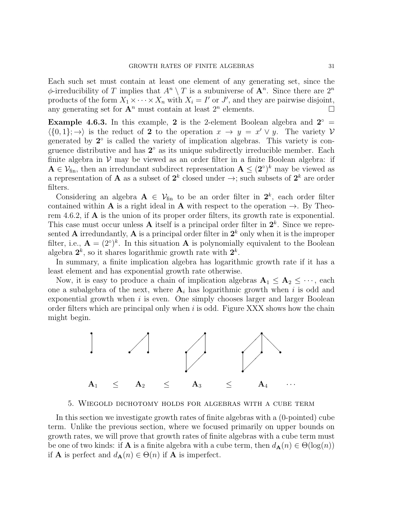Each such set must contain at least one element of any generating set, since the  $\phi$ -irreducibility of T implies that  $A^n \setminus T$  is a subuniverse of  $A^n$ . Since there are  $2^n$ products of the form  $X_1 \times \cdots \times X_n$  with  $X_i = I'$  or J', and they are pairwise disjoint, any generating set for  $\mathbf{A}^n$  must contain at least  $2^n$  elements.

**Example 4.6.3.** In this example, 2 is the 2-element Boolean algebra and  $2^{\circ}$  =  $\langle \{0, 1\}; \rightarrow \rangle$  is the reduct of 2 to the operation  $x \to y = x' \vee y$ . The variety V generated by  $2^{\circ}$  is called the variety of implication algebras. This variety is congruence distributive and has  $2^{\circ}$  as its unique subdirectly irreducible member. Each finite algebra in  $V$  may be viewed as an order filter in a finite Boolean algebra: if  $A \in \mathcal{V}_{fin}$ , then an irredundant subdirect representation  $A \leq (2^{\circ})^k$  may be viewed as a representation of **A** as a subset of  $2^k$  closed under  $\rightarrow$ ; such subsets of  $2^k$  are order filters.

Considering an algebra  $A \in V_{fin}$  to be an order filter in  $2^k$ , each order filter contained within **A** is a right ideal in **A** with respect to the operation  $\rightarrow$ . By Theorem 4.6.2, if  $\bf{A}$  is the union of its proper order filters, its growth rate is exponential. This case must occur unless **A** itself is a principal order filter in  $2<sup>k</sup>$ . Since we represented **A** irredundantly, **A** is a principal order filter in  $2^k$  only when it is the improper filter, i.e.,  $\mathbf{A} = (2^{\circ})^k$ . In this situation **A** is polynomially equivalent to the Boolean algebra  $2^k$ , so it shares logarithmic growth rate with  $2^k$ .

In summary, a finite implication algebra has logarithmic growth rate if it has a least element and has exponential growth rate otherwise.

Now, it is easy to produce a chain of implication algebras  $A_1 \leq A_2 \leq \cdots$ , each one a subalgebra of the next, where  $A_i$  has logarithmic growth when i is odd and exponential growth when i is even. One simply chooses larger and larger Boolean order filters which are principal only when  $i$  is odd. Figure XXX shows how the chain might begin.



#### 5. Wiegold dichotomy holds for algebras with a cube term

In this section we investigate growth rates of finite algebras with a (0-pointed) cube term. Unlike the previous section, where we focused primarily on upper bounds on growth rates, we will prove that growth rates of finite algebras with a cube term must be one of two kinds: if **A** is a finite algebra with a cube term, then  $d_{\mathbf{A}}(n) \in \Theta(\log(n))$ if **A** is perfect and  $d_{\mathbf{A}}(n) \in \Theta(n)$  if **A** is imperfect.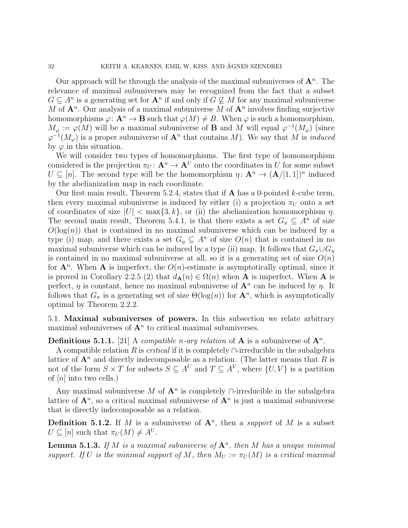Our approach will be through the analysis of the maximal subuniverses of  $A<sup>n</sup>$ . The relevance of maximal subuniverses may be recognized from the fact that a subset  $G \subseteq A^n$  is a generating set for  $A^n$  if and only if  $G \nsubseteq M$  for any maximal subuniverse M of  $\mathbf{A}^n$ . Our analysis of a maximal subuniverse M of  $\mathbf{A}^n$  involves finding surjective homomorphisms  $\varphi: \mathbf{A}^n \to \mathbf{B}$  such that  $\varphi(M) \neq B$ . When  $\varphi$  is such a homomorphism,  $M_{\varphi} := \varphi(M)$  will be a maximal subuniverse of **B** and M will equal  $\varphi^{-1}(M_{\varphi})$  (since  $\varphi^{-1}(M_{\varphi})$  is a proper subuniverse of  $\mathbf{A}^n$  that contains M). We say that M is *induced* by  $\varphi$  in this situation.

We will consider two types of homomorphisms. The first type of homomorphism considered is the projection  $\pi_U : \mathbf{A}^n \to \mathbf{A}^U$  onto the coordinates in U for some subset  $U \subseteq [n]$ . The second type will be the homomorphism  $\eta: \mathbf{A}^n \to (\mathbf{A}/[1,1])^n$  induced by the abelianization map in each coordinate.

Our first main result, Theorem 5.2.4, states that if  $\bf{A}$  has a 0-pointed k-cube term, then every maximal subuniverse is induced by either (i) a projection  $\pi_U$  onto a set of coordinates of size  $|U| < \max\{3, k\}$ , or (ii) the abelianization homomorphism  $\eta$ . The second main result, Theorem 5.4.1, is that there exists a set  $G_{\pi} \subseteq A^{n}$  of size  $O(\log(n))$  that is contained in no maximal subuniverse which can be induced by a type (i) map, and there exists a set  $G_n \subseteq A^n$  of size  $O(n)$  that is contained in no maximal subuniverse which can be induced by a type (ii) map. It follows that  $G_{\pi} \cup G_{n}$ is contained in no maximal subuniverse at all, so it is a generating set of size  $O(n)$ for  $A^n$ . When A is imperfect, the  $O(n)$ -estimate is asymptotically optimal, since it is proved in Corollary 2.2.5 (2) that  $d_{\mathbf{A}}(n) \in \Omega(n)$  when **A** is imperfect. When **A** is perfect,  $\eta$  is constant, hence no maximal subuniverse of  $\mathbf{A}^n$  can be induced by  $\eta$ . It follows that  $G_{\pi}$  is a generating set of size  $\Theta(\log(n))$  for  $\mathbf{A}^n$ , which is asymptotically optimal by Theorem 2.2.2.

5.1. Maximal subuniverses of powers. In this subsection we relate arbitrary maximal subuniverses of  $A<sup>n</sup>$  to critical maximal subuniverses.

**Definitions 5.1.1.** [21] A *compatible n-ary relation* of **A** is a subuniverse of  $\mathbf{A}^n$ .

A compatible relation R is *critical* if it is completely  $\cap$ -irreducible in the subalgebra lattice of  $\mathbf{A}^n$  and directly indecomposable as a relation. (The latter means that R is not of the form  $S \times T$  for subsets  $S \subseteq A^U$  and  $T \subseteq A^V$ , where  $\{U, V\}$  is a partition of  $[n]$  into two cells.)

Any maximal subuniverse M of  $A<sup>n</sup>$  is completely ∩-irreducible in the subalgebra lattice of  $\mathbf{A}^n$ , so a critical maximal subuniverse of  $\mathbf{A}^n$  is just a maximal subuniverse that is directly indecomposable as a relation.

**Definition 5.1.2.** If M is a subuniverse of  $A^n$ , then a *support* of M is a subset  $U \subseteq [n]$  such that  $\pi_U(M) \neq A^U$ .

**Lemma 5.1.3.** If M is a maximal subuniverse of  $A<sup>n</sup>$ , then M has a unique minimal support. If U is the minimal support of M, then  $M_U := \pi_U(M)$  is a critical maximal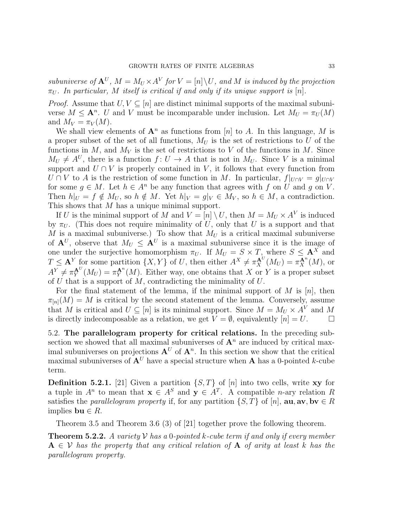subuniverse of  $A^U$ ,  $M = M_U \times A^V$  for  $V = [n] \backslash U$ , and M is induced by the projection  $\pi_U$ . In particular, M itself is critical if and only if its unique support is [n].

*Proof.* Assume that  $U, V \subseteq [n]$  are distinct minimal supports of the maximal subuniverse  $M \leq \mathbf{A}^n$ . U and V must be incomparable under inclusion. Let  $M_U = \pi_U(M)$ and  $M_V = \pi_V(M)$ .

We shall view elements of  $A^n$  as functions from [n] to A. In this language, M is a proper subset of the set of all functions,  $M_U$  is the set of restrictions to U of the functions in  $M$ , and  $M_V$  is the set of restrictions to V of the functions in M. Since  $M_U \neq A^U$ , there is a function  $f: U \to A$  that is not in  $M_U$ . Since V is a minimal support and  $U \cap V$  is properly contained in V, it follows that every function from  $U \cap V$  to A is the restriction of some function in M. In particular,  $f|_{U \cap V} = g|_{U \cap V}$ for some  $g \in M$ . Let  $h \in A^n$  be any function that agrees with f on U and g on V. Then  $h|_U = f \notin M_U$ , so  $h \notin M$ . Yet  $h|_V = g|_V \in M_V$ , so  $h \in M$ , a contradiction. This shows that M has a unique minimal support.

If U is the minimal support of M and  $V = [n] \setminus U$ , then  $M = M_U \times A^V$  is induced by  $\pi_U$ . (This does not require minimality of U, only that U is a support and that M is a maximal subuniverse.) To show that  $M_U$  is a critical maximal subuniverse of  $A^U$ , observe that  $M_U \leq A^U$  is a maximal subuniverse since it is the image of one under the surjective homomorphism  $\pi_U$ . If  $M_U = S \times T$ , where  $S \leq \mathbf{A}^X$  and  $T \leq \mathbf{A}^Y$  for some partition  $\{X, Y\}$  of U, then either  $A^X \neq \pi_X^{\mathbf{A}^U}(M_U) = \pi_X^{\mathbf{A}^n}(M)$ , or  $A^Y \neq \pi_Y^{\mathbf{A}^U}(M_U) = \pi_Y^{\mathbf{A}^n}(M)$ . Either way, one obtains that X or Y is a proper subset of U that is a support of M, contradicting the minimality of  $U$ .

For the final statement of the lemma, if the minimal support of M is  $[n]$ , then  $\pi_{[n]}(M) = M$  is critical by the second statement of the lemma. Conversely, assume that M is critical and  $U \subseteq [n]$  is its minimal support. Since  $M = M_U \times A^V$  and M is directly indecomposable as a relation, we get  $V = \emptyset$ , equivalently  $[n] = U$ .

5.2. The parallelogram property for critical relations. In the preceding subsection we showed that all maximal subuniverses of  $A<sup>n</sup>$  are induced by critical maximal subuniverses on projections  $A^U$  of  $A^n$ . In this section we show that the critical maximal subuniverses of  $A^U$  have a special structure when A has a 0-pointed k-cube term.

**Definition 5.2.1.** [21] Given a partition  $\{S, T\}$  of [n] into two cells, write xy for a tuple in  $A^n$  to mean that  $\mathbf{x} \in A^S$  and  $\mathbf{y} \in A^T$ . A compatible *n*-ary relation R satisfies the *parallelogram property* if, for any partition  $\{S, T\}$  of [n], **au**, **av**, **bv**  $\in$  R implies bu  $\in$  R.

Theorem 3.5 and Theorem 3.6 (3) of [21] together prove the following theorem.

**Theorem 5.2.2.** A variety  $V$  has a 0-pointed k-cube term if and only if every member  $A \in V$  has the property that any critical relation of A of arity at least k has the parallelogram property.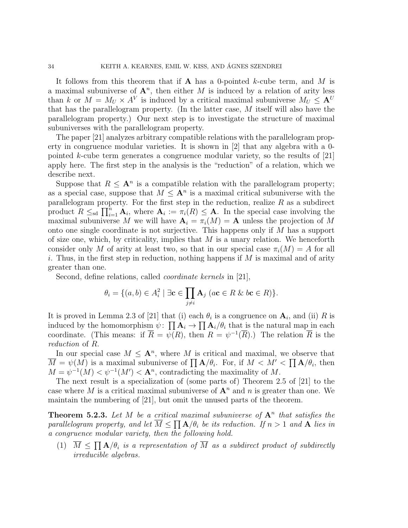It follows from this theorem that if  $A$  has a 0-pointed k-cube term, and M is a maximal subuniverse of  $\mathbf{A}^n$ , then either M is induced by a relation of arity less than k or  $M = M_U \times A^V$  is induced by a critical maximal subuniverse  $M_U \leq A^U$ that has the parallelogram property. (In the latter case, M itself will also have the parallelogram property.) Our next step is to investigate the structure of maximal subuniverses with the parallelogram property.

The paper [21] analyzes arbitrary compatible relations with the parallelogram property in congruence modular varieties. It is shown in [2] that any algebra with a 0 pointed k-cube term generates a congruence modular variety, so the results of  $[21]$ apply here. The first step in the analysis is the "reduction" of a relation, which we describe next.

Suppose that  $R \leq \mathbf{A}^n$  is a compatible relation with the parallelogram property; as a special case, suppose that  $M \leq \mathbf{A}^n$  is a maximal critical subuniverse with the parallelogram property. For the first step in the reduction, realize  $R$  as a subdirect product  $R \leq_{sd} \prod_{i=1}^{n} \mathbf{A}_i$ , where  $\mathbf{A}_i := \pi_i(R) \leq \mathbf{A}$ . In the special case involving the maximal subuniverse M we will have  $A_i = \pi_i(M) = A$  unless the projection of M onto one single coordinate is not surjective. This happens only if M has a support of size one, which, by criticality, implies that  $M$  is a unary relation. We henceforth consider only M of arity at least two, so that in our special case  $\pi_i(M) = A$  for all i. Thus, in the first step in reduction, nothing happens if  $M$  is maximal and of arity greater than one.

Second, define relations, called *coordinate kernels* in [21],

$$
\theta_i = \{ (a, b) \in A_i^2 \mid \exists \mathbf{c} \in \prod_{j \neq i} \mathbf{A}_j \ (a\mathbf{c} \in R \ \& \ b\mathbf{c} \in R) \}.
$$

It is proved in Lemma 2.3 of [21] that (i) each  $\theta_i$  is a congruence on  $\mathbf{A}_i$ , and (ii) R is induced by the homomorphism  $\psi: \prod_{i} A_i \to \prod_{i} A_i / \theta_i$  that is the natural map in each coordinate. (This means: if  $\overline{R} = \psi(R)$ , then  $R = \psi^{-1}(\overline{R})$ .) The relation  $\overline{R}$  is the reduction of R.

In our special case  $M \leq \mathbf{A}^n$ , where M is critical and maximal, we observe that  $\overline{M} = \psi(M)$  is a maximal subuniverse of  $\prod_{i=1}^n A/\theta_i$ . For, if  $M < M' < \prod_{i=1}^n A/\theta_i$ , then  $M = \psi^{-1}(M) < \psi^{-1}(M') < \mathbf{A}^n$ , contradicting the maximality of M.

The next result is a specialization of (some parts of) Theorem 2.5 of [21] to the case where M is a critical maximal subuniverse of  $A^n$  and n is greater than one. We maintain the numbering of [21], but omit the unused parts of the theorem.

**Theorem 5.2.3.** Let M be a critical maximal subuniverse of  $A<sup>n</sup>$  that satisfies the parallelogram property, and let  $\overline{M} \leq \prod_{i} A/\theta_i$  be its reduction. If  $n > 1$  and  $A$  lies in a congruence modular variety, then the following hold.

(1)  $\overline{M} \leq \prod_{i} A/\theta_i$  is a representation of  $\overline{M}$  as a subdirect product of subdirectly irreducible algebras.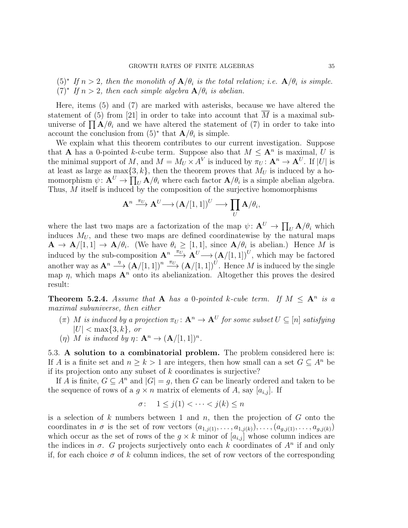$(5)^*$  If  $n > 2$ , then the monolith of  $\mathbf{A}/\theta_i$  is the total relation; i.e.  $\mathbf{A}/\theta_i$  is simple.  $(7)^*$  If  $n > 2$ , then each simple algebra  $\mathbf{A}/\theta_i$  is abelian.

Here, items (5) and (7) are marked with asterisks, because we have altered the statement of (5) from [21] in order to take into account that  $\overline{M}$  is a maximal subuniverse of  $\prod_{i=1}^{n} A/\theta_i$  and we have altered the statement of (7) in order to take into account the conclusion from  $(5)^*$  that  $\mathbf{A}/\theta_i$  is simple.

We explain what this theorem contributes to our current investigation. Suppose that **A** has a 0-pointed k-cube term. Suppose also that  $M \leq \mathbf{A}^n$  is maximal, U is the minimal support of M, and  $M = M_U \times A^V$  is induced by  $\pi_U : \mathbf{A}^n \to \mathbf{A}^U$ . If |U| is at least as large as  $\max\{3, k\}$ , then the theorem proves that  $M_U$  is induced by a homomorphism  $\psi: \mathbf{A}^U \to \prod_U \mathbf{A}/\theta_i$  where each factor  $\mathbf{A}/\theta_i$  is a simple abelian algebra. Thus, M itself is induced by the composition of the surjective homomorphisms

$$
\mathbf{A}^n \xrightarrow{\pi_U} \mathbf{A}^U \longrightarrow (\mathbf{A}/[1,1])^U \longrightarrow \prod_U \mathbf{A}/\theta_i,
$$

where the last two maps are a factorization of the map  $\psi: \mathbf{A}^U \to \prod_U \mathbf{A}/\theta_i$  which induces  $M_U$ , and these two maps are defined coordinatewise by the natural maps  $\mathbf{A} \to \mathbf{A}/[1,1] \to \mathbf{A}/\theta_i$ . (We have  $\theta_i \geq [1,1]$ , since  $\mathbf{A}/\theta_i$  is abelian.) Hence M is induced by the sub-composition  $\mathbf{A}^n \xrightarrow{\pi_U} \mathbf{A}^U \longrightarrow (\mathbf{A}/[1,1])^U$ , which may be factored another way as  $\mathbf{A}^n \stackrel{\eta}{\longrightarrow} (\mathbf{A}/[1,1])^n \stackrel{\pi_U}{\longrightarrow} (\mathbf{A}/[1,1])^U$ . Hence M is induced by the single map  $\eta$ , which maps  $\mathbf{A}^n$  onto its abelianization. Altogether this proves the desired result:

**Theorem 5.2.4.** Assume that **A** has a 0-pointed k-cube term. If  $M \leq A^n$  is a maximal subuniverse, then either

- $(\pi)$  M is induced by a projection  $\pi_U \colon \mathbf{A}^n \to \mathbf{A}^U$  for some subset  $U \subseteq [n]$  satisfying  $|U| < \max\{3, k\},\$ or
- (*η*) *M* is induced by  $\eta: \mathbf{A}^n \to (\mathbf{A}/[1,1])^n$ .

5.3. A solution to a combinatorial problem. The problem considered here is: If A is a finite set and  $n \geq k > 1$  are integers, then how small can a set  $G \subseteq A^n$  be if its projection onto any subset of  $k$  coordinates is surjective?

If A is finite,  $G \subseteq A^n$  and  $|G| = g$ , then G can be linearly ordered and taken to be the sequence of rows of a  $g \times n$  matrix of elements of A, say  $[a_{i,j}]$ . If

$$
\sigma: \quad 1 \le j(1) < \cdots < j(k) \le n
$$

is a selection of  $k$  numbers between 1 and  $n$ , then the projection of  $G$  onto the coordinates in  $\sigma$  is the set of row vectors  $(a_{1,j(1)},\ldots,a_{1,j(k)}),\ldots,(a_{g,j(1)},\ldots,a_{g,j(k)})$ which occur as the set of rows of the  $g \times k$  minor of  $[a_{i,j}]$  whose column indices are the indices in  $\sigma$ . G projects surjectively onto each k coordinates of  $A^n$  if and only if, for each choice  $\sigma$  of k column indices, the set of row vectors of the corresponding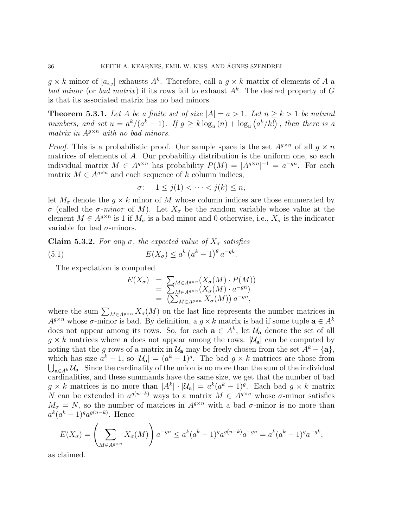$g \times k$  minor of  $[a_{i,j}]$  exhausts  $A^k$ . Therefore, call a  $g \times k$  matrix of elements of A a bad minor (or bad matrix) if its rows fail to exhaust  $A<sup>k</sup>$ . The desired property of G is that its associated matrix has no bad minors.

**Theorem 5.3.1.** Let A be a finite set of size  $|A| = a > 1$ . Let  $n \ge k > 1$  be natural numbers, and set  $u = a^k/(a^k - 1)$ . If  $g \ge k \log_u(n) + \log_u(a^k/k!)$ , then there is a matrix in  $A^{g\times n}$  with no bad minors.

*Proof.* This is a probabilistic proof. Our sample space is the set  $A^{g\times n}$  of all  $q \times n$ matrices of elements of A. Our probability distribution is the uniform one, so each individual matrix  $M \in A^{g \times n}$  has probability  $P(M) = |A^{g \times n}|^{-1} = a^{-gn}$ . For each matrix  $M \in A^{g \times n}$  and each sequence of k column indices,

$$
\sigma: \quad 1 \le j(1) < \cdots < j(k) \le n,
$$

let  $M_{\sigma}$  denote the  $g \times k$  minor of M whose column indices are those enumerated by σ (called the σ-minor of M). Let  $X_{\sigma}$  be the random variable whose value at the element  $M \in A^{g \times n}$  is 1 if  $M_{\sigma}$  is a bad minor and 0 otherwise, i.e.,  $X_{\sigma}$  is the indicator variable for bad  $\sigma$ -minors.

Claim 5.3.2. For any  $\sigma$ , the expected value of  $X_{\sigma}$  satisfies (5.1)  $E(X_{\sigma}) \leq a^k (a^k - 1)^g a^{-gk}.$ 

The expectation is computed

$$
E(X_{\sigma}) = \sum_{M \in A^{g \times n}} (X_{\sigma}(M) \cdot P(M))
$$
  
= 
$$
\sum_{M \in A^{g \times n}} (X_{\sigma}(M) \cdot a^{-gn})
$$
  
= 
$$
(\sum_{M \in A^{g \times n}} X_{\sigma}(M)) a^{-gn},
$$

where the sum  $\sum_{M\in A^{g\times n}} X_{\sigma}(M)$  on the last line represents the number matrices in  $A^{g\times n}$  whose  $\sigma$ -minor is bad. By definition, a  $g \times k$  matrix is bad if some tuple  $\mathbf{a} \in A^k$ does not appear among its rows. So, for each  $\mathbf{a} \in A^k$ , let  $\mathcal{U}_{\mathbf{a}}$  denote the set of all  $g \times k$  matrices where **a** does not appear among the rows.  $|\mathcal{U}_a|$  can be computed by noting that the g rows of a matrix in  $\mathcal{U}_a$  may be freely chosen from the set  $A^k - \{a\}$ , which has size  $a^k - 1$ , so  $|\mathcal{U}_a| = (a^k - 1)^g$ . The bad  $g \times k$  matrices are those from  $\bigcup_{a\in A^k} \mathcal{U}_a$ . Since the cardinality of the union is no more than the sum of the individual cardinalities, and these summands have the same size, we get that the number of bad  $g \times k$  matrices is no more than  $|A^k| \cdot |\mathcal{U}_a| = a^k (a^k - 1)^g$ . Each bad  $g \times k$  matrix N can be extended in  $a^{g(n-k)}$  ways to a matrix  $M \in A^{g \times n}$  whose  $\sigma$ -minor satisfies  $M_{\sigma} = N$ , so the number of matrices in  $A^{g\times n}$  with a bad  $\sigma$ -minor is no more than  $a^k(a^k-1)^{g}a^{g(n-k)}$ . Hence

$$
E(X_{\sigma}) = \left(\sum_{M \in A^{g \times n}} X_{\sigma}(M)\right) a^{-gn} \le a^k (a^k - 1)^g a^{g(n-k)} a^{-gn} = a^k (a^k - 1)^g a^{-gk},
$$

as claimed.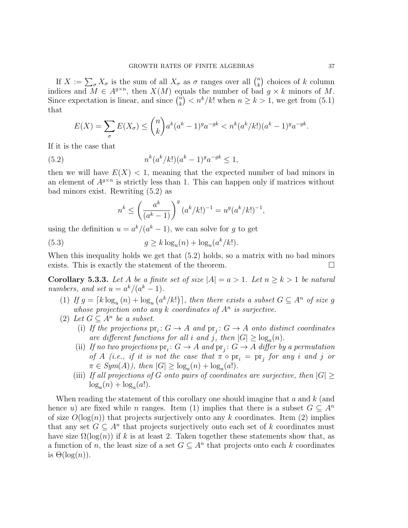If  $X := \sum_{\sigma} X_{\sigma}$  is the sum of all  $X_{\sigma}$  as  $\sigma$  ranges over all  $\binom{n}{k}$  $\binom{n}{k}$  choices of k column indices and  $M \in A^{g \times n}$ , then  $X(M)$  equals the number of bad  $g \times k$  minors of M. Since expectation is linear, and since  $\binom{n}{k}$  $k_k^n$   $\langle n^k/k!$  when  $n \geq k > 1$ , we get from  $(5.1)$ that

$$
E(X) = \sum_{\sigma} E(X_{\sigma}) \le {n \choose k} a^k (a^k - 1)^g a^{-gk} < n^k (a^k / k!)(a^k - 1)^g a^{-gk}.
$$

If it is the case that

(5.2) 
$$
n^k (a^k / k!) (a^k - 1)^g a^{-g k} \le 1,
$$

then we will have  $E(X) < 1$ , meaning that the expected number of bad minors in an element of  $A^{g\times n}$  is strictly less than 1. This can happen only if matrices without bad minors exist. Rewriting (5.2) as

$$
n^{k} \le \left(\frac{a^{k}}{(a^{k}-1)}\right)^{g}(a^{k}/k!)^{-1} = u^{g}(a^{k}/k!)^{-1},
$$

using the definition  $u = a^k/(a^k - 1)$ , we can solve for g to get

(5.3) 
$$
g \ge k \log_u(n) + \log_u(a^k/k!).
$$

When this inequality holds we get that (5.2) holds, so a matrix with no bad minors exists. This is exactly the statement of the theorem.  $\Box$ 

**Corollary 5.3.3.** Let A be a finite set of size  $|A| = a > 1$ . Let  $n \ge k > 1$  be natural numbers, and set  $u = a^k/(a^k - 1)$ .

- (1) If  $g = \lceil k \log_u(n) + \log_u(a^k/k!) \rceil$ , then there exists a subset  $G \subseteq A^n$  of size g whose projection onto any  $k$  coordinates of  $A<sup>n</sup>$  is surjective.
- (2) Let  $G \subseteq A^n$  be a subset.
	- (i) If the projections  $pr_i: G \to A$  and  $pr_j: G \to A$  onto distinct coordinates are different functions for all i and j, then  $|G| \ge \log_a(n)$ .
	- (ii) If no two projections  $pr_i: G \to A$  and  $pr_j: G \to A$  differ by a permutation of A (i.e., if it is not the case that  $\pi \circ pr_i = pr_j$  for any i and j or  $\pi \in Sym(A)$ , then  $|G| \geq \log_a(n) + \log_a(a!)$ .
	- (iii) If all projections of G onto pairs of coordinates are surjective, then  $|G| \geq$  $log_a(n) + log_a(a!).$

When reading the statement of this corollary one should imagine that  $a$  and  $k$  (and hence u) are fixed while n ranges. Item (1) implies that there is a subset  $G \subseteq A^n$ of size  $O(\log(n))$  that projects surjectively onto any k coordinates. Item (2) implies that any set  $G \subseteq A^n$  that projects surjectively onto each set of k coordinates must have size  $\Omega(\log(n))$  if k is at least 2. Taken together these statements show that, as a function of n, the least size of a set  $G \subseteq A^n$  that projects onto each k coordinates is  $\Theta(\log(n))$ .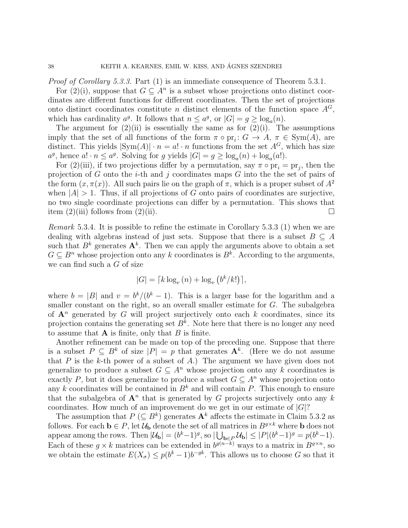Proof of Corollary 5.3.3. Part (1) is an immediate consequence of Theorem 5.3.1.

For  $(2)(i)$ , suppose that  $G \subseteq A^n$  is a subset whose projections onto distinct coordinates are different functions for different coordinates. Then the set of projections onto distinct coordinates constitute n distinct elements of the function space  $A^G$ , which has cardinality  $a^g$ . It follows that  $n \le a^g$ , or  $|G| = g \ge \log_a(n)$ .

The argument for  $(2)(ii)$  is essentially the same as for  $(2)(i)$ . The assumptions imply that the set of all functions of the form  $\pi \circ pr_i: G \to A, \pi \in Sym(A)$ , are distinct. This yields  $|\text{Sym}(A)| \cdot n = a! \cdot n$  functions from the set  $A^G$ , which has size  $a^g$ , hence  $a! \cdot n \le a^g$ . Solving for g yields  $|G| = g \ge \log_a(n) + \log_a(a!)$ .

For (2)(iii), if two projections differ by a permutation, say  $\pi \circ pr_i = pr_j$ , then the projection of G onto the *i*-th and j coordinates maps  $G$  into the set of pairs of the form  $(x, \pi(x))$ . All such pairs lie on the graph of  $\pi$ , which is a proper subset of  $A^2$ when  $|A| > 1$ . Thus, if all projections of G onto pairs of coordinates are surjective, no two single coordinate projections can differ by a permutation. This shows that item  $(2)$ (iii) follows from  $(2)$ (ii).

Remark 5.3.4. It is possible to refine the estimate in Corollary 5.3.3 (1) when we are dealing with algebras instead of just sets. Suppose that there is a subset  $B \subseteq A$ such that  $B^k$  generates  $\mathbf{A}^k$ . Then we can apply the arguments above to obtain a set  $G \subseteq B^n$  whose projection onto any k coordinates is  $B^k$ . According to the arguments, we can find such a G of size

$$
|G| = \lceil k \log_v(n) + \log_v(b^k/k!) \rceil,
$$

where  $b = |B|$  and  $v = \frac{b^k}{(b^k - 1)}$ . This is a larger base for the logarithm and a smaller constant on the right, so an overall smaller estimate for G. The subalgebra of  $A^n$  generated by G will project surjectively onto each k coordinates, since its projection contains the generating set  $B^k$ . Note here that there is no longer any need to assume that  $A$  is finite, only that  $B$  is finite.

Another refinement can be made on top of the preceding one. Suppose that there is a subset  $P \subseteq B^k$  of size  $|P| = p$  that generates  $A^k$ . (Here we do not assume that  $P$  is the k-th power of a subset of  $A$ .) The argument we have given does not generalize to produce a subset  $G \subseteq A^n$  whose projection onto any k coordinates is exactly P, but it does generalize to produce a subset  $G \subseteq A^n$  whose projection onto any k coordinates will be contained in  $B<sup>k</sup>$  and will contain P. This enough to ensure that the subalgebra of  $\mathbf{A}^n$  that is generated by G projects surjectively onto any k coordinates. How much of an improvement do we get in our estimate of  $|G|$ ?

The assumption that  $P(\subseteq B^k)$  generates  $\mathbf{A}^k$  affects the estimate in Claim 5.3.2 as follows. For each  $\mathbf{b} \in P$ , let  $\mathcal{U}_{\mathbf{b}}$  denote the set of all matrices in  $B^{g\times k}$  where **b** does not appear among the rows. Then  $|\mathcal{U}_b| = (b^k - 1)^g$ , so  $|\bigcup_{b \in P} \mathcal{U}_b| \leq |P|(b^k - 1)^g = p(b^k - 1)$ . Each of these  $g \times k$  matrices can be extended in  $b^{g(n-k)}$  ways to a matrix in  $B^{g \times n}$ , so we obtain the estimate  $E(X_{\sigma}) \leq p(b^k-1)b^{-gk}$ . This allows us to choose G so that it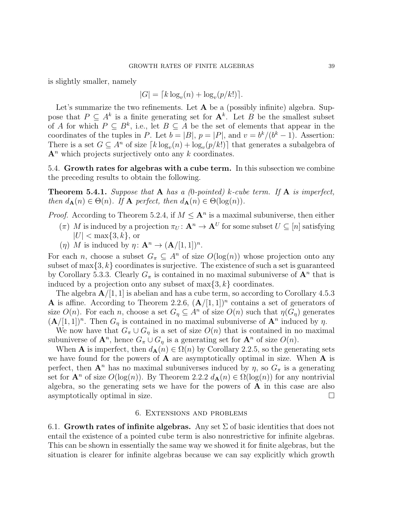is slightly smaller, namely

$$
|G| = \lceil k \log_v(n) + \log_v(p/k!) \rceil.
$$

Let's summarize the two refinements. Let  $A$  be a (possibly infinite) algebra. Suppose that  $P \subseteq A^k$  is a finite generating set for  $A^k$ . Let B be the smallest subset of A for which  $P \subseteq B^k$ , i.e., let  $B \subseteq A$  be the set of elements that appear in the coordinates of the tuples in P. Let  $b = |B|$ ,  $p = |P|$ , and  $v = \frac{b^k}{(b^k - 1)}$ . Assertion: There is a set  $G \subseteq A^n$  of size  $\lceil k \log_v(n) + \log_v(p/k!) \rceil$  that generates a subalgebra of  $A<sup>n</sup>$  which projects surjectively onto any k coordinates.

5.4. Growth rates for algebras with a cube term. In this subsection we combine the preceding results to obtain the following.

**Theorem 5.4.1.** Suppose that A has a (0-pointed) k-cube term. If A is imperfect, then  $d_{\mathbf{A}}(n) \in \Theta(n)$ . If  $\mathbf{A}$  perfect, then  $d_{\mathbf{A}}(n) \in \Theta(\log(n))$ .

## *Proof.* According to Theorem 5.2.4, if  $M \leq \mathbf{A}^n$  is a maximal subuniverse, then either

- $(\pi)$  M is induced by a projection  $\pi_U : \mathbf{A}^n \to \mathbf{A}^U$  for some subset  $U \subseteq [n]$  satisfying  $|U| < \max\{3, k\},\$ or
- (*η*) M is induced by  $\eta: \mathbf{A}^n \to (\mathbf{A}/[1,1])^n$ .

For each n, choose a subset  $G_{\pi} \subseteq A^n$  of size  $O(\log(n))$  whose projection onto any subset of  $\max\{3, k\}$  coordinates is surjective. The existence of such a set is guaranteed by Corollary 5.3.3. Clearly  $G_{\pi}$  is contained in no maximal subuniverse of  $\mathbf{A}^n$  that is induced by a projection onto any subset of  $\max\{3, k\}$  coordinates.

The algebra  $\mathbf{A}/[1,1]$  is abelian and has a cube term, so according to Corollary 4.5.3 **A** is affine. According to Theorem 2.2.6,  $(A/[1,1])^n$  contains a set of generators of size  $O(n)$ . For each n, choose a set  $G_n \subseteq A^n$  of size  $O(n)$  such that  $\eta(G_n)$  generates  $(\mathbf{A}/[1,1])^n$ . Then  $G_\eta$  is contained in no maximal subuniverse of  $\mathbf{A}^n$  induced by  $\eta$ .

We now have that  $G_{\pi} \cup G_{\eta}$  is a set of size  $O(n)$  that is contained in no maximal subuniverse of  $\mathbf{A}^n$ , hence  $G_{\pi} \cup G_{\eta}$  is a generating set for  $\mathbf{A}^n$  of size  $O(n)$ .

When **A** is imperfect, then  $d_{\mathbf{A}}(n) \in \Omega(n)$  by Corollary 2.2.5, so the generating sets we have found for the powers of  $A$  are asymptotically optimal in size. When  $A$  is perfect, then  $\mathbf{A}^n$  has no maximal subuniverses induced by  $\eta$ , so  $G_\pi$  is a generating set for  $\mathbf{A}^n$  of size  $O(\log(n))$ . By Theorem 2.2.2  $d_{\mathbf{A}}(n) \in \Omega(\log(n))$  for any nontrivial algebra, so the generating sets we have for the powers of  $\bf{A}$  in this case are also asymptotically optimal in size.  $\Box$ 

#### 6. Extensions and problems

6.1. Growth rates of infinite algebras. Any set  $\Sigma$  of basic identities that does not entail the existence of a pointed cube term is also nonrestrictive for infinite algebras. This can be shown in essentially the same way we showed it for finite algebras, but the situation is clearer for infinite algebras because we can say explicitly which growth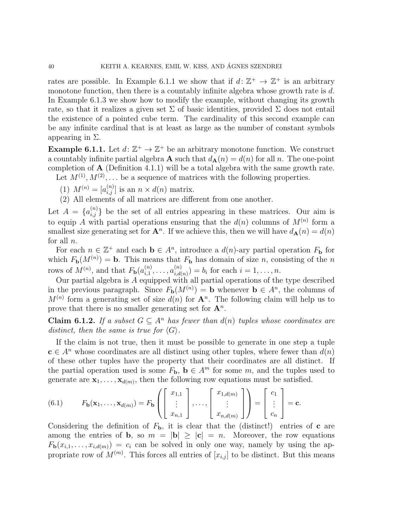rates are possible. In Example 6.1.1 we show that if  $d: \mathbb{Z}^+ \to \mathbb{Z}^+$  is an arbitrary monotone function, then there is a countably infinite algebra whose growth rate is  $d$ . In Example 6.1.3 we show how to modify the example, without changing its growth rate, so that it realizes a given set  $\Sigma$  of basic identities, provided  $\Sigma$  does not entail the existence of a pointed cube term. The cardinality of this second example can be any infinite cardinal that is at least as large as the number of constant symbols appearing in  $\Sigma$ .

**Example 6.1.1.** Let  $d: \mathbb{Z}^+ \to \mathbb{Z}^+$  be an arbitrary monotone function. We construct a countably infinite partial algebra **A** such that  $d_{\mathbf{A}}(n) = d(n)$  for all n. The one-point completion of  $\bf{A}$  (Definition 4.1.1) will be a total algebra with the same growth rate. Let  $M^{(1)}, M^{(2)}, \ldots$  be a sequence of matrices with the following properties.

(1)  $M^{(n)} = [a_{i,j}^{(n)}]$  is an  $n \times d(n)$  matrix.

(2) All elements of all matrices are different from one another.

Let  $A = \{a_{i,j}^{(n)}\}$  be the set of all entries appearing in these matrices. Our aim is to equip A with partial operations ensuring that the  $d(n)$  columns of  $M^{(n)}$  form a smallest size generating set for  $\mathbf{A}^n$ . If we achieve this, then we will have  $d_{\mathbf{A}}(n) = d(n)$ for all n.

For each  $n \in \mathbb{Z}^+$  and each  $\mathbf{b} \in A^n$ , introduce a  $d(n)$ -ary partial operation  $F_{\mathbf{b}}$  for which  $F_{\bf b}(M^{(n)}) = {\bf b}$ . This means that  $F_{\bf b}$  has domain of size n, consisting of the n rows of  $M^{(n)}$ , and that  $F_{\mathbf{b}}(a_{i,1}^{(n)})$  $\overset{(n)}{\vphantom{\big(}i,1)},\ldots,\overset{(n)}{\vphantom{\big(}i,d\big($  $\binom{n}{i,d(n)} = b_i$  for each  $i = 1, ..., n$ .

Our partial algebra is A equipped with all partial operations of the type described in the previous paragraph. Since  $F_{\mathbf{b}}(M^{(n)}) = \mathbf{b}$  whenever  $\mathbf{b} \in A^n$ , the columns of  $M^{(n)}$  form a generating set of size  $d(n)$  for  $\mathbf{A}^n$ . The following claim will help us to prove that there is no smaller generating set for  $\mathbf{A}^n$ .

**Claim 6.1.2.** If a subset  $G \subseteq A^n$  has fewer than  $d(n)$  tuples whose coordinates are distinct, then the same is true for  $\langle G \rangle$ .

If the claim is not true, then it must be possible to generate in one step a tuple  $c \in A^n$  whose coordinates are all distinct using other tuples, where fewer than  $d(n)$ of these other tuples have the property that their coordinates are all distinct. If the partial operation used is some  $F_{\mathbf{b}}$ ,  $\mathbf{b} \in A^m$  for some m, and the tuples used to generate are  $\mathbf{x}_1, \ldots, \mathbf{x}_{d(m)}$ , then the following row equations must be satisfied.

(6.1) 
$$
F_{\mathbf{b}}(\mathbf{x}_1,\ldots,\mathbf{x}_{d(m)})=F_{\mathbf{b}}\left(\left[\begin{array}{c}x_{1,1} \\ \vdots \\ x_{n,1}\end{array}\right],\ldots,\left[\begin{array}{c}x_{1,d(m)} \\ \vdots \\ x_{n,d(m)}\end{array}\right]\right)=\left[\begin{array}{c}c_1 \\ \vdots \\ c_n\end{array}\right]=\mathbf{c}.
$$

Considering the definition of  $F_{\mathbf{b}}$ , it is clear that the (distinct!) entries of **c** are among the entries of **b**, so  $m = |\mathbf{b}| \geq |\mathbf{c}| = n$ . Moreover, the row equations  $F_{\mathbf{b}}(x_{i,1},\ldots,x_{i,d(m)}) = c_i$  can be solved in only one way, namely by using the appropriate row of  $M^{(m)}$ . This forces all entries of  $[x_{i,j}]$  to be distinct. But this means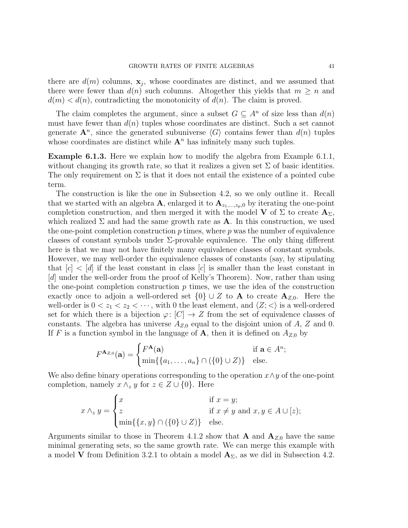there are  $d(m)$  columns,  $\mathbf{x}_j$ , whose coordinates are distinct, and we assumed that there were fewer than  $d(n)$  such columns. Altogether this yields that  $m \geq n$  and  $d(m) < d(n)$ , contradicting the monotonicity of  $d(n)$ . The claim is proved.

The claim completes the argument, since a subset  $G \subseteq A^n$  of size less than  $d(n)$ must have fewer than  $d(n)$  tuples whose coordinates are distinct. Such a set cannot generate  $\mathbf{A}^n$ , since the generated subuniverse  $\langle G \rangle$  contains fewer than  $d(n)$  tuples whose coordinates are distinct while  $A<sup>n</sup>$  has infinitely many such tuples.

Example 6.1.3. Here we explain how to modify the algebra from Example 6.1.1, without changing its growth rate, so that it realizes a given set  $\Sigma$  of basic identities. The only requirement on  $\Sigma$  is that it does not entail the existence of a pointed cube term.

The construction is like the one in Subsection 4.2, so we only outline it. Recall that we started with an algebra A, enlarged it to  $A_{z_1,\dots,z_p,0}$  by iterating the one-point completion construction, and then merged it with the model V of  $\Sigma$  to create  $\mathbf{A}_{\Sigma}$ , which realized  $\Sigma$  and had the same growth rate as **A**. In this construction, we used the one-point completion construction  $p$  times, where  $p$  was the number of equivalence classes of constant symbols under  $\Sigma$ -provable equivalence. The only thing different here is that we may not have finitely many equivalence classes of constant symbols. However, we may well-order the equivalence classes of constants (say, by stipulating that  $[c] < [d]$  if the least constant in class  $[c]$  is smaller than the least constant in [d] under the well-order from the proof of Kelly's Theorem). Now, rather than using the one-point completion construction  $p$  times, we use the idea of the construction exactly once to adjoin a well-ordered set  $\{0\} \cup Z$  to **A** to create  $\mathbf{A}_{Z,0}$ . Here the well-order is  $0 < z_1 < z_2 < \cdots$ , with 0 the least element, and  $\langle Z; < \rangle$  is a well-ordered set for which there is a bijection  $\varphi: [C] \to Z$  from the set of equivalence classes of constants. The algebra has universe  $A_{Z,0}$  equal to the disjoint union of A, Z and 0. If F is a function symbol in the language of A, then it is defined on  $A_{Z,0}$  by

$$
F^{\mathbf{A}_{Z,0}}(\mathbf{a}) = \begin{cases} F^{\mathbf{A}}(\mathbf{a}) & \text{if } \mathbf{a} \in A^n; \\ \min\{\{a_1,\ldots,a_n\} \cap (\{0\} \cup Z)\} & \text{else.} \end{cases}
$$

We also define binary operations corresponding to the operation  $x \wedge y$  of the one-point completion, namely  $x \wedge_z y$  for  $z \in Z \cup \{0\}$ . Here

$$
x \wedge_z y = \begin{cases} x & \text{if } x = y; \\ z & \text{if } x \neq y \text{ and } x, y \in A \cup [z); \\ \min\{\{x, y\} \cap (\{0\} \cup Z)\} & \text{else.} \end{cases}
$$

Arguments similar to those in Theorem 4.1.2 show that **A** and  $A_{Z,0}$  have the same minimal generating sets, so the same growth rate. We can merge this example with a model **V** from Definition 3.2.1 to obtain a model  $A_{\Sigma}$ , as we did in Subsection 4.2.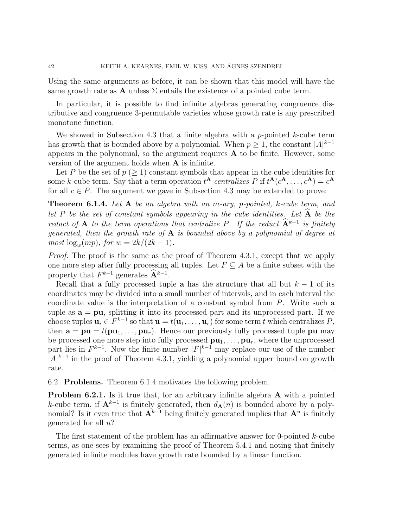Using the same arguments as before, it can be shown that this model will have the same growth rate as **A** unless  $\Sigma$  entails the existence of a pointed cube term.

In particular, it is possible to find infinite algebras generating congruence distributive and congruence 3-permutable varieties whose growth rate is any prescribed monotone function.

We showed in Subsection 4.3 that a finite algebra with a p-pointed k-cube term has growth that is bounded above by a polynomial. When  $p \geq 1$ , the constant  $|A|^{k-1}$ appears in the polynomial, so the argument requires A to be finite. However, some version of the argument holds when A is infinite.

Let P be the set of  $p \geq 1$  constant symbols that appear in the cube identities for some k-cube term. Say that a term operation  $t^{\mathbf{A}}$  centralizes P if  $t^{\mathbf{A}}(c^{\mathbf{A}}, \ldots, c^{\mathbf{A}}) = c^{\mathbf{A}}$ for all  $c \in P$ . The argument we gave in Subsection 4.3 may be extended to prove:

**Theorem 6.1.4.** Let  $A$  be an algebra with an m-ary, p-pointed, k-cube term, and let P be the set of constant symbols appearing in the cube identities. Let  $\widehat{A}$  be the reduct of A to the term operations that centralize P. If the reduct  $\hat{A}^{k-1}$  is finitely generated, then the growth rate of  $A$  is bounded above by a polynomial of degree at  $most \log_w(mp)$ , for  $w = 2k/(2k-1)$ .

Proof. The proof is the same as the proof of Theorem 4.3.1, except that we apply one more step after fully processing all tuples. Let  $F \subseteq A$  be a finite subset with the property that  $F^{k-1}$  generates  $\widehat{A}^{k-1}$ .

Recall that a fully processed tuple a has the structure that all but  $k - 1$  of its coordinates may be divided into a small number of intervals, and in each interval the coordinate value is the interpretation of a constant symbol from P. Write such a tuple as  $a = pu$ , splitting it into its processed part and its unprocessed part. If we choose tuples  $\mathbf{u}_i \in F^{k-1}$  so that  $\mathbf{u} = t(\mathbf{u}_1, \dots, \mathbf{u}_r)$  for some term t which centralizes P, then  $\mathbf{a} = \mathbf{p}\mathbf{u} = t(\mathbf{p}\mathbf{u}_1, \dots, \mathbf{p}\mathbf{u}_r)$ . Hence our previously fully processed tuple pu may be processed one more step into fully processed  $\mathbf{pu}_1, \ldots, \mathbf{pu}_r$ , where the unprocessed part lies in  $F^{k-1}$ . Now the finite number  $|F|^{k-1}$  may replace our use of the number  $|A|^{k-1}$  in the proof of Theorem 4.3.1, yielding a polynomial upper bound on growth rate.

6.2. Problems. Theorem 6.1.4 motivates the following problem.

Problem 6.2.1. Is it true that, for an arbitrary infinite algebra A with a pointed k-cube term, if  $A^{k-1}$  is finitely generated, then  $d_{A}(n)$  is bounded above by a polynomial? Is it even true that  $A^{k-1}$  being finitely generated implies that  $A^n$  is finitely generated for all n?

The first statement of the problem has an affirmative answer for 0-pointed k-cube terms, as one sees by examining the proof of Theorem 5.4.1 and noting that finitely generated infinite modules have growth rate bounded by a linear function.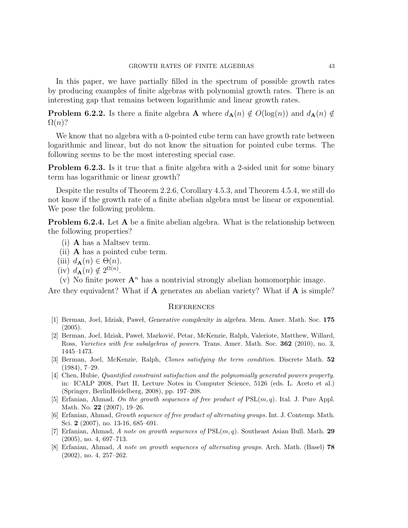In this paper, we have partially filled in the spectrum of possible growth rates by producing examples of finite algebras with polynomial growth rates. There is an interesting gap that remains between logarithmic and linear growth rates.

**Problem 6.2.2.** Is there a finite algebra **A** where  $d_{\mathbf{A}}(n) \notin O(\log(n))$  and  $d_{\mathbf{A}}(n) \notin$  $\Omega(n)$ ?

We know that no algebra with a 0-pointed cube term can have growth rate between logarithmic and linear, but do not know the situation for pointed cube terms. The following seems to be the most interesting special case.

**Problem 6.2.3.** Is it true that a finite algebra with a 2-sided unit for some binary term has logarithmic or linear growth?

Despite the results of Theorem 2.2.6, Corollary 4.5.3, and Theorem 4.5.4, we still do not know if the growth rate of a finite abelian algebra must be linear or exponential. We pose the following problem.

Problem 6.2.4. Let A be a finite abelian algebra. What is the relationship between the following properties?

- (i) A has a Maltsev term.
- (ii) A has a pointed cube term.
- (iii)  $d_{\mathbf{A}}(n) \in \Theta(n)$ .
- (iv)  $d_{\mathbf{A}}(n) \notin 2^{\Omega(n)}$ .

(v) No finite power  $A^n$  has a nontrivial strongly abelian homomorphic image.

Are they equivalent? What if **A** generates an abelian variety? What if **A** is simple?

#### **REFERENCES**

- [1] Berman, Joel, Idziak, Paweł, *Generative complexity in algebra*. Mem. Amer. Math. Soc. 175  $(2005).$
- [2] Berman, Joel, Idziak, Paweł, Marković, Petar, McKenzie, Ralph, Valeriote, Matthew, Willard, Ross, Varieties with few subalgebras of powers. Trans. Amer. Math. Soc. 362 (2010), no. 3, 1445–1473.
- [3] Berman, Joel, McKenzie, Ralph, Clones satisfying the term condition. Discrete Math. 52 (1984), 7–29.
- [4] Chen, Hubie, Quantified constraint satisfaction and the polynomially generated powers property. in: ICALP 2008, Part II, Lecture Notes in Computer Science, 5126 (eds. L. Aceto et al.) (Springer, BerlinHeidelberg, 2008), pp. 197–208.
- [5] Erfanian, Ahmad, On the growth sequences of free product of  $PSL(m, q)$ . Ital. J. Pure Appl. Math. No. 22 (2007), 19–26.
- [6] Erfanian, Ahmad, Growth sequence of free product of alternating groups. Int. J. Contemp. Math. Sci. 2 (2007), no. 13-16, 685–691.
- [7] Erfanian, Ahmad, A note on growth sequences of  $PSL(m, q)$ . Southeast Asian Bull. Math. 29 (2005), no. 4, 697–713.
- [8] Erfanian, Ahmad, A note on growth sequences of alternating groups. Arch. Math. (Basel) 78 (2002), no. 4, 257–262.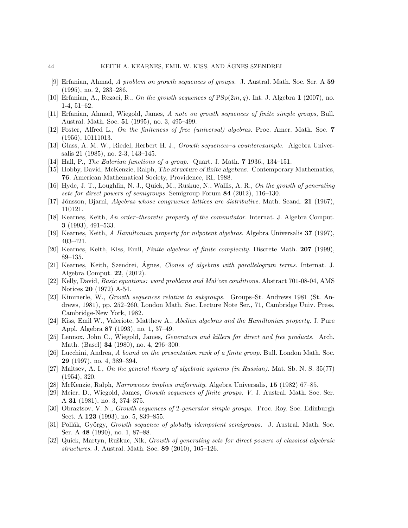- [9] Erfanian, Ahmad, A problem on growth sequences of groups. J. Austral. Math. Soc. Ser. A 59 (1995), no. 2, 283–286.
- [10] Erfanian, A., Rezaei, R., On the growth sequences of  $PSp(2m, q)$ . Int. J. Algebra 1 (2007), no. 1-4, 51–62.
- [11] Erfanian, Ahmad, Wiegold, James, A note on growth sequences of finite simple groups, Bull. Austral. Math. Soc. 51 (1995), no. 3, 495–499.
- [12] Foster, Alfred L., On the finiteness of free (universal) algebras. Proc. Amer. Math. Soc. 7 (1956), 10111013.
- [13] Glass, A. M. W., Riedel, Herbert H. J., Growth sequences–a counterexample. Algebra Universalis 21 (1985), no. 2-3, 143–145.
- [14] Hall, P., The Eulerian functions of a group. Quart. J. Math. 7 1936., 134–151.
- [15] Hobby, David, McKenzie, Ralph, The structure of finite algebras. Contemporary Mathematics, 76. American Mathematical Society, Providence, RI, 1988.
- [16] Hyde, J. T., Loughlin, N. J., Quick, M., Ruskuc, N., Wallis, A. R., On the growth of generating sets for direct powers of semigroups. Semigroup Forum 84 (2012), 116–130.
- [17] Jónsson, Bjarni, Algebras whose congruence lattices are distributive. Math. Scand. 21 (1967), 110121.
- [18] Kearnes, Keith, An order–theoretic property of the commutator. Internat. J. Algebra Comput. 3 (1993), 491–533.
- [19] Kearnes, Keith, A Hamiltonian property for nilpotent algebras. Algebra Universalis 37 (1997), 403–421.
- [20] Kearnes, Keith, Kiss, Emil, Finite algebras of finite complexity. Discrete Math. 207 (1999), 89–135.
- [21] Kearnes, Keith, Szendrei, Agnes, *Clones of algebras with parallelogram terms*. Internat. J. Algebra Comput. 22, (2012).
- [22] Kelly, David, Basic equations: word problems and Mal'cev conditions. Abstract 701-08-04, AMS Notices 20 (1972) A-54.
- [23] Kimmerle, W., Growth sequences relative to subgroups. Groups–St. Andrews 1981 (St. Andrews, 1981), pp. 252–260, London Math. Soc. Lecture Note Ser., 71, Cambridge Univ. Press, Cambridge-New York, 1982.
- [24] Kiss, Emil W., Valeriote, Matthew A., Abelian algebras and the Hamiltonian property. J. Pure Appl. Algebra 87 (1993), no. 1, 37–49.
- [25] Lennox, John C., Wiegold, James, Generators and killers for direct and free products. Arch. Math. (Basel) 34 (1980), no. 4, 296–300.
- [26] Lucchini, Andrea, A bound on the presentation rank of a finite group. Bull. London Math. Soc. 29 (1997), no. 4, 389–394.
- [27] Maltsev, A. I., On the general theory of algebraic systems (in Russian). Mat. Sb. N. S. 35(77) (1954), 320.
- [28] McKenzie, Ralph, Narrowness implies uniformity. Algebra Universalis, 15 (1982) 67–85.
- [29] Meier, D., Wiegold, James, Growth sequences of finite groups. V. J. Austral. Math. Soc. Ser. A 31 (1981), no. 3, 374–375.
- [30] Obraztsov, V. N., Growth sequences of 2-generator simple groups. Proc. Roy. Soc. Edinburgh Sect. A **123** (1993), no. 5, 839–855.
- [31] Pollák, György, Growth sequence of globally idempotent semigroups. J. Austral. Math. Soc. Ser. A 48 (1990), no. 1, 87–88.
- [32] Quick, Martyn, Ruškuc, Nik, Growth of generating sets for direct powers of classical algebraic structures. J. Austral. Math. Soc. 89 (2010), 105–126.